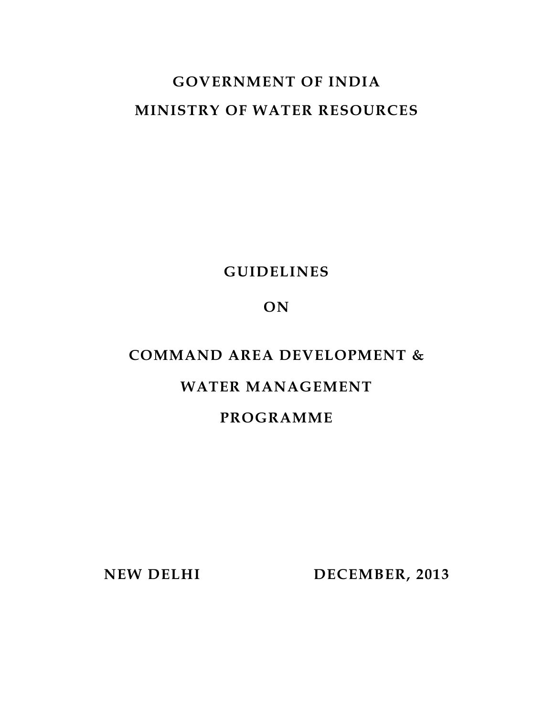# **GOVERNMENT OF INDIA MINISTRY OF WATER RESOURCES**

## **GUIDELINES**

## **ON**

## **COMMAND AREA DEVELOPMENT &**

## **WATER MANAGEMENT**

## **PROGRAMME**

 **NEW DELHI DECEMBER, 2013**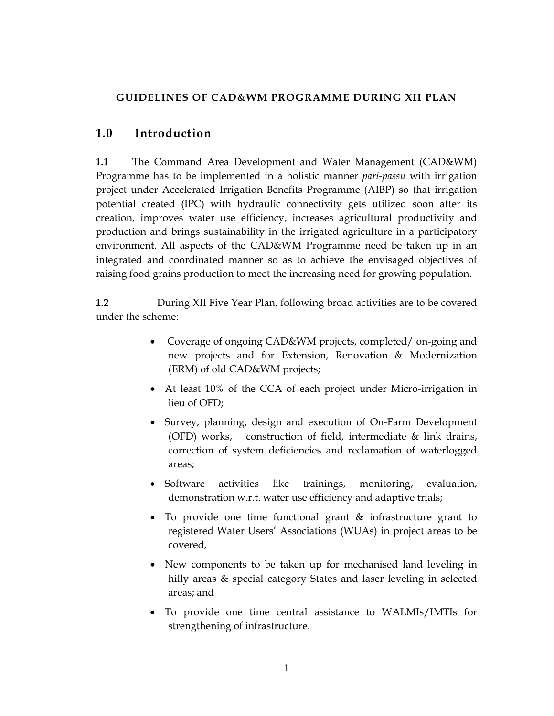## **GUIDELINES OF CAD&WM PROGRAMME DURING XII PLAN**

## **1.0 Introduction**

**1.1** The Command Area Development and Water Management (CAD&WM) Programme has to be implemented in a holistic manner *pari-passu* with irrigation project under Accelerated Irrigation Benefits Programme (AIBP) so that irrigation potential created (IPC) with hydraulic connectivity gets utilized soon after its creation, improves water use efficiency, increases agricultural productivity and production and brings sustainability in the irrigated agriculture in a participatory environment. All aspects of the CAD&WM Programme need be taken up in an integrated and coordinated manner so as to achieve the envisaged objectives of raising food grains production to meet the increasing need for growing population.

**1.2 During XII Five Year Plan, following broad activities are to be covered** under the scheme:

- Coverage of ongoing CAD&WM projects, completed/ on-going and new projects and for Extension, Renovation & Modernization (ERM) of old CAD&WM projects;
- At least 10% of the CCA of each project under Micro-irrigation in lieu of OFD;
- Survey, planning, design and execution of On-Farm Development (OFD) works, construction of field, intermediate & link drains, correction of system deficiencies and reclamation of waterlogged areas;
- Software activities like trainings, monitoring, evaluation, demonstration w.r.t. water use efficiency and adaptive trials;
- To provide one time functional grant & infrastructure grant to registered Water Users' Associations (WUAs) in project areas to be covered,
- New components to be taken up for mechanised land leveling in hilly areas & special category States and laser leveling in selected areas; and
- To provide one time central assistance to WALMIs/IMTIs for strengthening of infrastructure.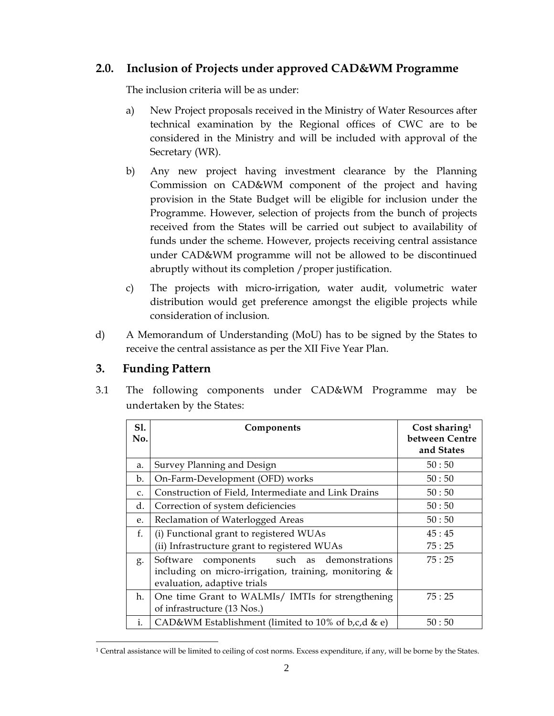## **2.0. Inclusion of Projects under approved CAD&WM Programme**

The inclusion criteria will be as under:

- a) New Project proposals received in the Ministry of Water Resources after technical examination by the Regional offices of CWC are to be considered in the Ministry and will be included with approval of the Secretary (WR).
- b) Any new project having investment clearance by the Planning Commission on CAD&WM component of the project and having provision in the State Budget will be eligible for inclusion under the Programme. However, selection of projects from the bunch of projects received from the States will be carried out subject to availability of funds under the scheme. However, projects receiving central assistance under CAD&WM programme will not be allowed to be discontinued abruptly without its completion / proper justification.
- c) The projects with micro-irrigation, water audit, volumetric water distribution would get preference amongst the eligible projects while consideration of inclusion.
- d) A Memorandum of Understanding (MoU) has to be signed by the States to receive the central assistance as per the XII Five Year Plan.

## **3. Funding Pattern**

3.1 The following components under CAD&WM Programme may be undertaken by the States:

| S1.<br>No.    | Components                                                                                                                            | Cost sharing <sup>1</sup><br>between Centre<br>and States |
|---------------|---------------------------------------------------------------------------------------------------------------------------------------|-----------------------------------------------------------|
| a.            | Survey Planning and Design                                                                                                            | 50:50                                                     |
| b.            | On-Farm-Development (OFD) works                                                                                                       | 50:50                                                     |
| $C_{\bullet}$ | Construction of Field, Intermediate and Link Drains                                                                                   | 50:50                                                     |
| d.            | Correction of system deficiencies                                                                                                     | 50:50                                                     |
| e.            | Reclamation of Waterlogged Areas                                                                                                      | 50:50                                                     |
| f.            | (i) Functional grant to registered WUAs                                                                                               | 45:45                                                     |
|               | (ii) Infrastructure grant to registered WUAs                                                                                          | 75:25                                                     |
| g.            | components such as demonstrations<br>Software<br>including on micro-irrigation, training, monitoring &<br>evaluation, adaptive trials | 75:25                                                     |
| h.            | One time Grant to WALMIs/ IMTIs for strengthening<br>of infrastructure (13 Nos.)                                                      | 75:25                                                     |
| i.            | CAD&WM Establishment (limited to 10% of b,c,d & e)                                                                                    | 50:50                                                     |

 $\overline{a}$ 1 Central assistance will be limited to ceiling of cost norms. Excess expenditure, if any, will be borne by the States.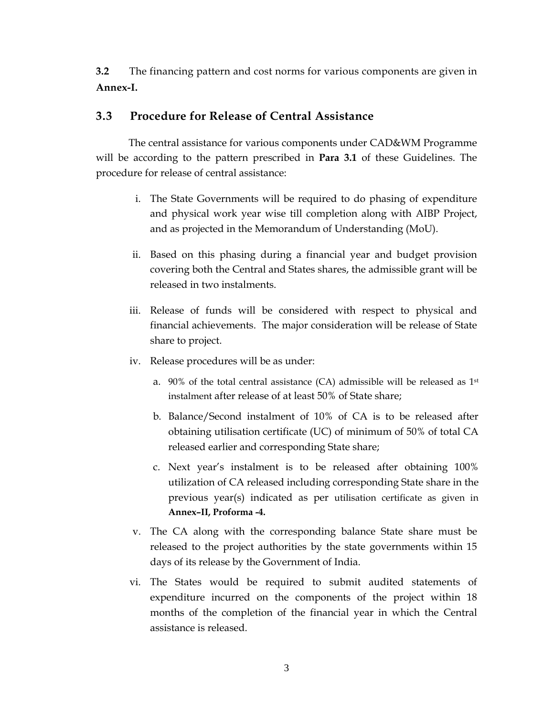**3.2** The financing pattern and cost norms for various components are given in **Annex-I.**

## **3.3 Procedure for Release of Central Assistance**

 The central assistance for various components under CAD&WM Programme will be according to the pattern prescribed in **Para 3.1** of these Guidelines. The procedure for release of central assistance:

- i. The State Governments will be required to do phasing of expenditure and physical work year wise till completion along with AIBP Project, and as projected in the Memorandum of Understanding (MoU).
- ii. Based on this phasing during a financial year and budget provision covering both the Central and States shares, the admissible grant will be released in two instalments.
- iii. Release of funds will be considered with respect to physical and financial achievements. The major consideration will be release of State share to project.
- iv. Release procedures will be as under:
	- a.  $90\%$  of the total central assistance (CA) admissible will be released as  $1st$ instalment after release of at least 50% of State share;
	- b. Balance/Second instalment of 10% of CA is to be released after obtaining utilisation certificate (UC) of minimum of 50% of total CA released earlier and corresponding State share;
	- c. Next year's instalment is to be released after obtaining 100% utilization of CA released including corresponding State share in the previous year(s) indicated as per utilisation certificate as given in **Annex–II, Proforma -4.**
- v. The CA along with the corresponding balance State share must be released to the project authorities by the state governments within 15 days of its release by the Government of India.
- vi. The States would be required to submit audited statements of expenditure incurred on the components of the project within 18 months of the completion of the financial year in which the Central assistance is released.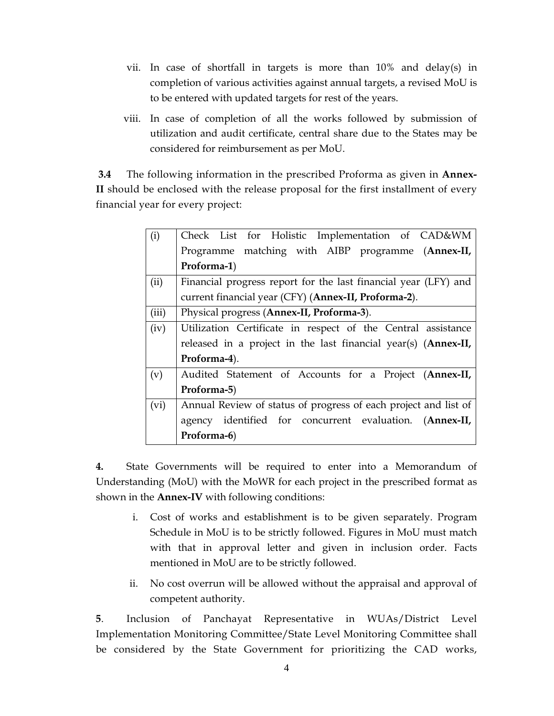- vii. In case of shortfall in targets is more than 10% and delay(s) in completion of various activities against annual targets, a revised MoU is to be entered with updated targets for rest of the years.
- viii. In case of completion of all the works followed by submission of utilization and audit certificate, central share due to the States may be considered for reimbursement as per MoU.

**3.4** The following information in the prescribed Proforma as given in **Annex-II** should be enclosed with the release proposal for the first installment of every financial year for every project:

| (i)   | Check List for Holistic Implementation of CAD&WM                |
|-------|-----------------------------------------------------------------|
|       | Programme matching with AIBP programme (Annex-II,               |
|       | Proforma-1)                                                     |
| (ii)  | Financial progress report for the last financial year (LFY) and |
|       | current financial year (CFY) (Annex-II, Proforma-2).            |
| (iii) | Physical progress (Annex-II, Proforma-3).                       |
| (iv)  | Utilization Certificate in respect of the Central assistance    |
|       | released in a project in the last financial year(s) (Annex-II,  |
|       | Proforma-4).                                                    |
| (v)   | Audited Statement of Accounts for a Project (Annex-II,          |
|       | Proforma-5)                                                     |
| (vi)  | Annual Review of status of progress of each project and list of |
|       | agency identified for concurrent evaluation. (Annex-II,         |
|       | Proforma-6)                                                     |

**4.** State Governments will be required to enter into a Memorandum of Understanding (MoU) with the MoWR for each project in the prescribed format as shown in the **Annex-IV** with following conditions:

- i. Cost of works and establishment is to be given separately. Program Schedule in MoU is to be strictly followed. Figures in MoU must match with that in approval letter and given in inclusion order. Facts mentioned in MoU are to be strictly followed.
- ii. No cost overrun will be allowed without the appraisal and approval of competent authority.

**5**. Inclusion of Panchayat Representative in WUAs/District Level Implementation Monitoring Committee/State Level Monitoring Committee shall be considered by the State Government for prioritizing the CAD works,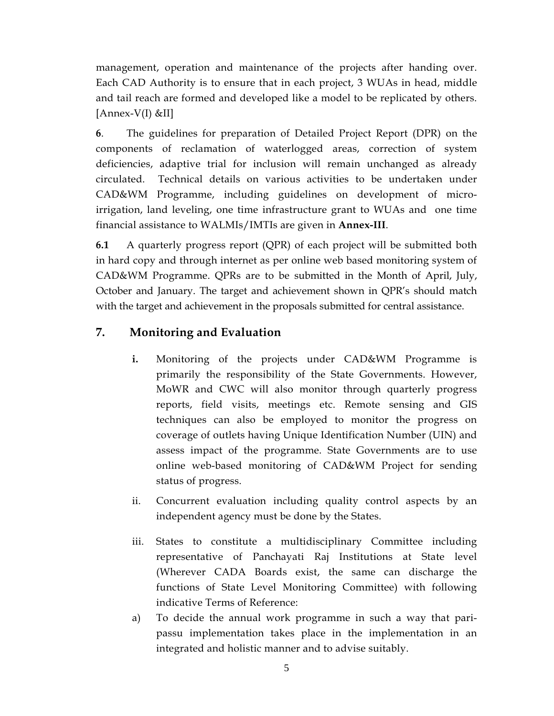management, operation and maintenance of the projects after handing over. Each CAD Authority is to ensure that in each project, 3 WUAs in head, middle and tail reach are formed and developed like a model to be replicated by others. [Annex-V(I) &II]

**6**. The guidelines for preparation of Detailed Project Report (DPR) on the components of reclamation of waterlogged areas, correction of system deficiencies, adaptive trial for inclusion will remain unchanged as already circulated. Technical details on various activities to be undertaken under CAD&WM Programme, including guidelines on development of microirrigation, land leveling, one time infrastructure grant to WUAs and one time financial assistance to WALMIs/IMTIs are given in **Annex-III**.

**6.1** A quarterly progress report (QPR) of each project will be submitted both in hard copy and through internet as per online web based monitoring system of CAD&WM Programme. QPRs are to be submitted in the Month of April, July, October and January. The target and achievement shown in QPR's should match with the target and achievement in the proposals submitted for central assistance.

## **7. Monitoring and Evaluation**

- **i.** Monitoring of the projects under CAD&WM Programme is primarily the responsibility of the State Governments. However, MoWR and CWC will also monitor through quarterly progress reports, field visits, meetings etc. Remote sensing and GIS techniques can also be employed to monitor the progress on coverage of outlets having Unique Identification Number (UIN) and assess impact of the programme. State Governments are to use online web-based monitoring of CAD&WM Project for sending status of progress.
- ii. Concurrent evaluation including quality control aspects by an independent agency must be done by the States.
- iii. States to constitute a multidisciplinary Committee including representative of Panchayati Raj Institutions at State level (Wherever CADA Boards exist, the same can discharge the functions of State Level Monitoring Committee) with following indicative Terms of Reference:
- a) To decide the annual work programme in such a way that paripassu implementation takes place in the implementation in an integrated and holistic manner and to advise suitably.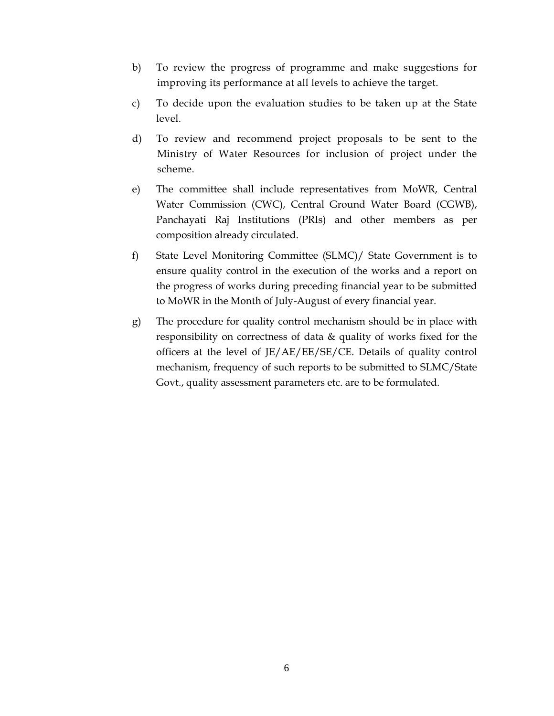- b) To review the progress of programme and make suggestions for improving its performance at all levels to achieve the target.
- c) To decide upon the evaluation studies to be taken up at the State level.
- d) To review and recommend project proposals to be sent to the Ministry of Water Resources for inclusion of project under the scheme.
- e) The committee shall include representatives from MoWR, Central Water Commission (CWC), Central Ground Water Board (CGWB), Panchayati Raj Institutions (PRIs) and other members as per composition already circulated.
- f) State Level Monitoring Committee (SLMC)/ State Government is to ensure quality control in the execution of the works and a report on the progress of works during preceding financial year to be submitted to MoWR in the Month of July-August of every financial year.
- g) The procedure for quality control mechanism should be in place with responsibility on correctness of data & quality of works fixed for the officers at the level of JE/AE/EE/SE/CE. Details of quality control mechanism, frequency of such reports to be submitted to SLMC/State Govt., quality assessment parameters etc. are to be formulated.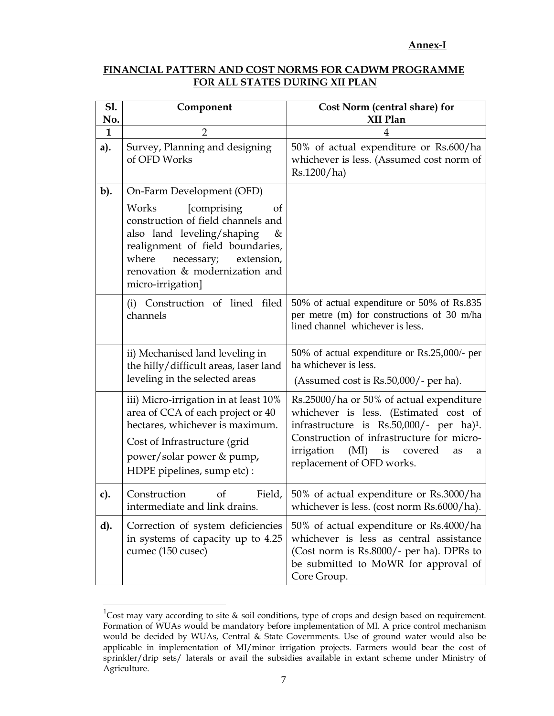#### **Annex-I**

#### **FINANCIAL PATTERN AND COST NORMS FOR CADWM PROGRAMME FOR ALL STATES DURING XII PLAN**

| <b>S1.</b><br>No. | Component                                                                                                                                                                                                                                                        | Cost Norm (central share) for<br>XII Plan                                                                                                                                                                                                                       |
|-------------------|------------------------------------------------------------------------------------------------------------------------------------------------------------------------------------------------------------------------------------------------------------------|-----------------------------------------------------------------------------------------------------------------------------------------------------------------------------------------------------------------------------------------------------------------|
| $\mathbf{1}$      | $\overline{2}$                                                                                                                                                                                                                                                   | 4                                                                                                                                                                                                                                                               |
| a).               | Survey, Planning and designing<br>of OFD Works                                                                                                                                                                                                                   | 50% of actual expenditure or Rs.600/ha<br>whichever is less. (Assumed cost norm of<br>Rs.1200/ha)                                                                                                                                                               |
| b).               | On-Farm Development (OFD)<br>[comprising<br>Works<br>of<br>construction of field channels and<br>also land leveling/shaping<br>&<br>realignment of field boundaries,<br>where<br>necessary;<br>extension,<br>renovation & modernization and<br>micro-irrigation] |                                                                                                                                                                                                                                                                 |
|                   | (i) Construction of lined filed<br>channels                                                                                                                                                                                                                      | 50% of actual expenditure or 50% of Rs.835<br>per metre (m) for constructions of 30 m/ha<br>lined channel whichever is less.                                                                                                                                    |
|                   | ii) Mechanised land leveling in<br>the hilly/difficult areas, laser land<br>leveling in the selected areas                                                                                                                                                       | 50% of actual expenditure or Rs.25,000/- per<br>ha whichever is less.<br>(Assumed cost is Rs.50,000/- per ha).                                                                                                                                                  |
|                   | iii) Micro-irrigation in at least 10%<br>area of CCA of each project or 40<br>hectares, whichever is maximum.<br>Cost of Infrastructure (grid<br>power/solar power & pump,<br>HDPE pipelines, sump etc):                                                         | Rs.25000/ha or 50% of actual expenditure<br>whichever is less. (Estimated cost of<br>infrastructure is $Rs.50,000/$ - per ha) <sup>1</sup> .<br>Construction of infrastructure for micro-<br>irrigation (MI) is covered<br>as<br>a<br>replacement of OFD works. |
| c).               | Construction<br>$\circ$ f<br>Field,<br>intermediate and link drains.                                                                                                                                                                                             | 50% of actual expenditure or Rs.3000/ha<br>whichever is less. (cost norm Rs.6000/ha).                                                                                                                                                                           |
| d).               | Correction of system deficiencies<br>in systems of capacity up to 4.25<br>cumec (150 cusec)                                                                                                                                                                      | 50% of actual expenditure or Rs.4000/ha<br>whichever is less as central assistance<br>(Cost norm is Rs.8000/- per ha). DPRs to<br>be submitted to MoWR for approval of<br>Core Group.                                                                           |

<sup>&</sup>lt;sup>1</sup>Cost may vary according to site & soil conditions, type of crops and design based on requirement. Formation of WUAs would be mandatory before implementation of MI. A price control mechanism would be decided by WUAs, Central & State Governments. Use of ground water would also be applicable in implementation of MI/minor irrigation projects. Farmers would bear the cost of sprinkler/drip sets/ laterals or avail the subsidies available in extant scheme under Ministry of Agriculture.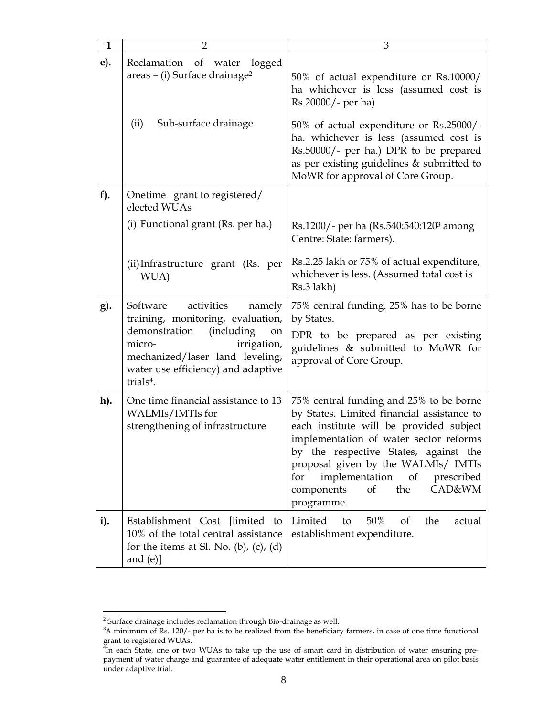| $\mathbf{1}$ | $\overline{2}$                                                                                                                                                                                                                        | 3                                                                                                                                                                                                                                                                                                                                                    |
|--------------|---------------------------------------------------------------------------------------------------------------------------------------------------------------------------------------------------------------------------------------|------------------------------------------------------------------------------------------------------------------------------------------------------------------------------------------------------------------------------------------------------------------------------------------------------------------------------------------------------|
| e).          | Reclamation of water<br>logged<br>areas - (i) Surface drainage <sup>2</sup>                                                                                                                                                           | 50% of actual expenditure or Rs.10000/<br>ha whichever is less (assumed cost is<br>Rs.20000/- per ha)                                                                                                                                                                                                                                                |
|              | Sub-surface drainage<br>(ii)                                                                                                                                                                                                          | 50% of actual expenditure or Rs.25000/-<br>ha. whichever is less (assumed cost is<br>Rs.50000/- per ha.) DPR to be prepared<br>as per existing guidelines & submitted to<br>MoWR for approval of Core Group.                                                                                                                                         |
| $f$ ).       | Onetime grant to registered/<br>elected WUAs                                                                                                                                                                                          |                                                                                                                                                                                                                                                                                                                                                      |
|              | (i) Functional grant (Rs. per ha.)                                                                                                                                                                                                    | Rs.1200/- per ha (Rs.540:540:1203 among<br>Centre: State: farmers).                                                                                                                                                                                                                                                                                  |
|              | (ii) Infrastructure grant (Rs. per<br>WUA)                                                                                                                                                                                            | Rs.2.25 lakh or 75% of actual expenditure,<br>whichever is less. (Assumed total cost is<br>Rs.3 lakh)                                                                                                                                                                                                                                                |
| g).          | activities<br>Software<br>namely<br>training, monitoring, evaluation,<br>demonstration<br>(including<br>on<br>micro-<br>irrigation,<br>mechanized/laser land leveling,<br>water use efficiency) and adaptive<br>trials <sup>4</sup> . | 75% central funding. 25% has to be borne<br>by States.<br>DPR to be prepared as per existing<br>guidelines & submitted to MoWR for<br>approval of Core Group.                                                                                                                                                                                        |
| h).          | One time financial assistance to 13<br>WALMIs/IMTIs for<br>strengthening of infrastructure                                                                                                                                            | 75% central funding and 25% to be borne<br>by States. Limited financial assistance to<br>each institute will be provided subject<br>implementation of water sector reforms<br>by the respective States, against the<br>proposal given by the WALMIs/ IMTIs<br>implementation of prescribed<br>for<br>of<br>the<br>CAD&WM<br>components<br>programme. |
| i).          | Establishment Cost [limited to ]<br>10% of the total central assistance<br>for the items at Sl. No. (b), (c), (d)<br>and $(e)$ ]                                                                                                      | 50%<br>Limited<br>the<br>to<br><sub>of</sub><br>actual<br>establishment expenditure.                                                                                                                                                                                                                                                                 |

 $2$  Surface drainage includes reclamation through Bio-drainage as well.

<sup>&</sup>lt;sup>3</sup>A minimum of Rs. 120/- per ha is to be realized from the beneficiary farmers, in case of one time functional

grant to registered WUAs.<br><sup>4</sup>In each State, one or two WUAs to take up the use of smart card in distribution of water ensuring prepayment of water charge and guarantee of adequate water entitlement in their operational area on pilot basis under adaptive trial.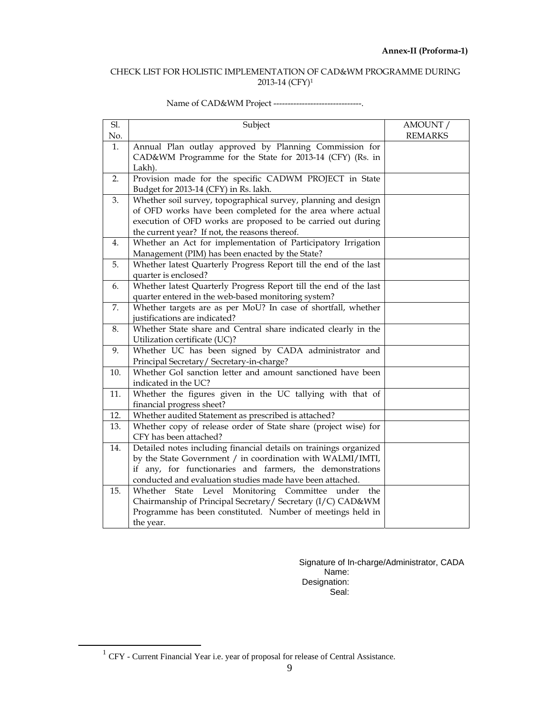#### CHECK LIST FOR HOLISTIC IMPLEMENTATION OF CAD&WM PROGRAMME DURING 2013-14 (CFY)1

| Sl.<br>No. | Subject                                                                                                                 | AMOUNT /<br><b>REMARKS</b> |
|------------|-------------------------------------------------------------------------------------------------------------------------|----------------------------|
| 1.         | Annual Plan outlay approved by Planning Commission for                                                                  |                            |
|            | CAD&WM Programme for the State for 2013-14 (CFY) (Rs. in                                                                |                            |
|            | Lakh).                                                                                                                  |                            |
| 2.         | Provision made for the specific CADWM PROJECT in State                                                                  |                            |
|            | Budget for 2013-14 (CFY) in Rs. lakh.                                                                                   |                            |
| 3.         | Whether soil survey, topographical survey, planning and design                                                          |                            |
|            | of OFD works have been completed for the area where actual                                                              |                            |
|            | execution of OFD works are proposed to be carried out during                                                            |                            |
|            | the current year? If not, the reasons thereof.                                                                          |                            |
| 4.         | Whether an Act for implementation of Participatory Irrigation                                                           |                            |
|            | Management (PIM) has been enacted by the State?                                                                         |                            |
| 5.         | Whether latest Quarterly Progress Report till the end of the last                                                       |                            |
|            | quarter is enclosed?                                                                                                    |                            |
| 6.         | Whether latest Quarterly Progress Report till the end of the last                                                       |                            |
|            | quarter entered in the web-based monitoring system?                                                                     |                            |
| 7.         | Whether targets are as per MoU? In case of shortfall, whether                                                           |                            |
|            | justifications are indicated?                                                                                           |                            |
| 8.         | Whether State share and Central share indicated clearly in the                                                          |                            |
|            | Utilization certificate (UC)?                                                                                           |                            |
| 9.         | Whether UC has been signed by CADA administrator and                                                                    |                            |
|            | Principal Secretary/Secretary-in-charge?                                                                                |                            |
| 10.        | Whether GoI sanction letter and amount sanctioned have been                                                             |                            |
|            | indicated in the UC?                                                                                                    |                            |
| 11.        | Whether the figures given in the UC tallying with that of                                                               |                            |
|            | financial progress sheet?                                                                                               |                            |
| 12.<br>13. | Whether audited Statement as prescribed is attached?<br>Whether copy of release order of State share (project wise) for |                            |
|            | CFY has been attached?                                                                                                  |                            |
| 14.        | Detailed notes including financial details on trainings organized                                                       |                            |
|            | by the State Government / in coordination with WALMI/IMTI,                                                              |                            |
|            | if any, for functionaries and farmers, the demonstrations                                                               |                            |
|            | conducted and evaluation studies made have been attached.                                                               |                            |
| 15.        | Whether<br>Level Monitoring Committee<br>State<br>under<br>the                                                          |                            |
|            | Chairmanship of Principal Secretary/ Secretary (I/C) CAD&WM                                                             |                            |
|            | Programme has been constituted. Number of meetings held in                                                              |                            |
|            | the year.                                                                                                               |                            |

#### Name of CAD&WM Project --------------------------------

Signature of In-charge/Administrator, CADA Name: Designation: Seal:

 $^1$  CFY - Current Financial Year i.e. year of proposal for release of Central Assistance.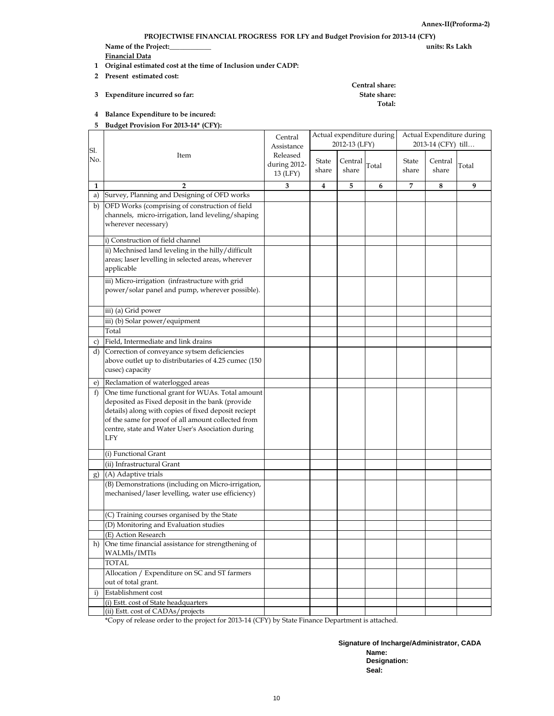**PROJECTWISE FINANCIAL PROGRESS FOR LFY and Budget Provision for 2013-14 (CFY)**

**Name of the Project:\_\_\_\_\_\_\_\_\_\_\_\_ units: Rs Lakh** 

**Financial Data**

- **1 Original estimated cost at the time of Inclusion under CADP:**
- **2 Present estimated cost:**
- **3 Expenditure incurred so far: State share:**

## **Central share: Total:**

**4 Balance Expenditure to be incured: 5 Budget Provision For 2013-14\* (CFY):**

|              |                                                                                                                                                                                                                                                                                    | Central<br>Assistance                |                | 2012-13 (LFY)    | Actual expenditure during | Actual Expenditure during<br>2013-14 (CFY) till |                  |       |  |
|--------------|------------------------------------------------------------------------------------------------------------------------------------------------------------------------------------------------------------------------------------------------------------------------------------|--------------------------------------|----------------|------------------|---------------------------|-------------------------------------------------|------------------|-------|--|
| Sl.<br>No.   | Item                                                                                                                                                                                                                                                                               | Released<br>during 2012-<br>13 (LFY) | State<br>share | Central<br>share | Total                     | State<br>share                                  | Central<br>share | Total |  |
| 1            | 2                                                                                                                                                                                                                                                                                  | 3                                    | 4              | 5                | 6                         | 7                                               | 8                | 9     |  |
| a)           | Survey, Planning and Designing of OFD works                                                                                                                                                                                                                                        |                                      |                |                  |                           |                                                 |                  |       |  |
|              | b) OFD Works (comprising of construction of field<br>channels, micro-irrigation, land leveling/shaping<br>wherever necessary)                                                                                                                                                      |                                      |                |                  |                           |                                                 |                  |       |  |
|              | i) Construction of field channel                                                                                                                                                                                                                                                   |                                      |                |                  |                           |                                                 |                  |       |  |
|              | ii) Mechnised land leveling in the hilly/difficult<br>areas; laser levelling in selected areas, wherever<br>applicable                                                                                                                                                             |                                      |                |                  |                           |                                                 |                  |       |  |
|              | iii) Micro-irrigation (infrastructure with grid<br>power/solar panel and pump, wherever possible).                                                                                                                                                                                 |                                      |                |                  |                           |                                                 |                  |       |  |
|              | iii) (a) Grid power                                                                                                                                                                                                                                                                |                                      |                |                  |                           |                                                 |                  |       |  |
|              | iii) (b) Solar power/equipment                                                                                                                                                                                                                                                     |                                      |                |                  |                           |                                                 |                  |       |  |
|              | Total                                                                                                                                                                                                                                                                              |                                      |                |                  |                           |                                                 |                  |       |  |
| c)           | Field, Intermediate and link drains                                                                                                                                                                                                                                                |                                      |                |                  |                           |                                                 |                  |       |  |
|              | d) Correction of conveyance sytsem deficiencies<br>above outlet up to distributaries of 4.25 cumec (150<br>cusec) capacity                                                                                                                                                         |                                      |                |                  |                           |                                                 |                  |       |  |
| e)           | Reclamation of waterlogged areas                                                                                                                                                                                                                                                   |                                      |                |                  |                           |                                                 |                  |       |  |
| f)           | One time functional grant for WUAs. Total amount<br>deposited as Fixed deposit in the bank (provide<br>details) along with copies of fixed deposit reciept<br>of the same for proof of all amount collected from<br>centre, state and Water User's Asociation during<br><b>LFY</b> |                                      |                |                  |                           |                                                 |                  |       |  |
|              | (i) Functional Grant                                                                                                                                                                                                                                                               |                                      |                |                  |                           |                                                 |                  |       |  |
|              | (ii) Infrastructural Grant                                                                                                                                                                                                                                                         |                                      |                |                  |                           |                                                 |                  |       |  |
| g)           | (A) Adaptive trials                                                                                                                                                                                                                                                                |                                      |                |                  |                           |                                                 |                  |       |  |
|              | (B) Demonstrations (including on Micro-irrigation,<br>mechanised/laser levelling, water use efficiency)                                                                                                                                                                            |                                      |                |                  |                           |                                                 |                  |       |  |
|              | (C) Training courses organised by the State                                                                                                                                                                                                                                        |                                      |                |                  |                           |                                                 |                  |       |  |
|              | (D) Monitoring and Evaluation studies                                                                                                                                                                                                                                              |                                      |                |                  |                           |                                                 |                  |       |  |
|              | (E) Action Research                                                                                                                                                                                                                                                                |                                      |                |                  |                           |                                                 |                  |       |  |
|              | h) One time financial assistance for strengthening of<br><b>WALMIs/IMTIs</b>                                                                                                                                                                                                       |                                      |                |                  |                           |                                                 |                  |       |  |
|              | <b>TOTAL</b>                                                                                                                                                                                                                                                                       |                                      |                |                  |                           |                                                 |                  |       |  |
|              | Allocation / Expenditure on SC and ST farmers<br>out of total grant.                                                                                                                                                                                                               |                                      |                |                  |                           |                                                 |                  |       |  |
| $\mathbf{i}$ | Establishment cost                                                                                                                                                                                                                                                                 |                                      |                |                  |                           |                                                 |                  |       |  |
|              | (i) Estt. cost of State headquarters<br>(ii) Estt. cost of CADAs/projects                                                                                                                                                                                                          |                                      |                |                  |                           |                                                 |                  |       |  |

\*Copy of release order to the project for 2013-14 (CFY) by State Finance Department is attached.

**Signature of Incharge/Administrator, CADA Name: Designation: Seal:**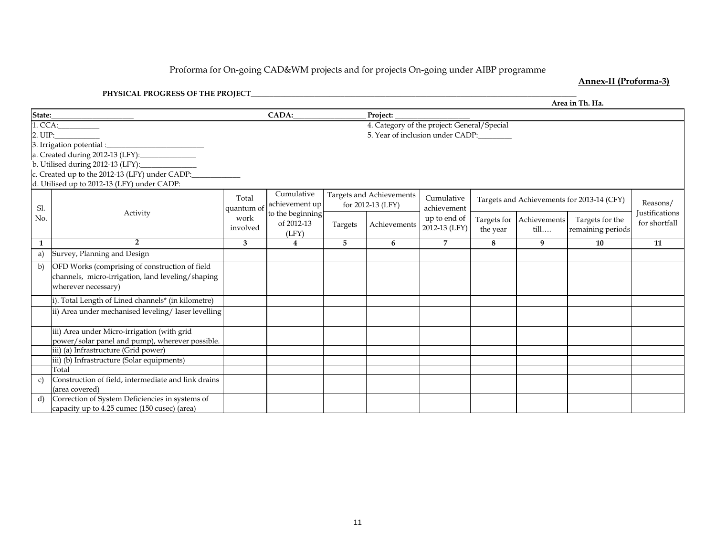#### Proforma for On-goin g CAD&WM projects and for projects On-goin g under AIBP pro gramme

#### **Annex-II (Proforma-3)**

#### **PHYSICAL PROGRESS OF THE PROJECT\_\_\_\_\_\_\_\_\_\_\_\_\_\_\_\_\_\_\_\_\_\_\_\_\_\_\_\_\_\_\_\_\_\_\_\_\_\_\_\_\_\_\_\_\_\_\_\_\_\_\_\_\_\_\_\_\_\_\_\_\_\_\_\_\_\_\_\_\_\_\_\_\_\_\_\_\_\_\_\_\_\_\_\_\_\_\_**

|               |                                                                                                                                                                                                    |                     |                                         |         |                                                                                 |                               |          |                                           | Area in Th. Ha.                            |                                 |
|---------------|----------------------------------------------------------------------------------------------------------------------------------------------------------------------------------------------------|---------------------|-----------------------------------------|---------|---------------------------------------------------------------------------------|-------------------------------|----------|-------------------------------------------|--------------------------------------------|---------------------------------|
| State:        |                                                                                                                                                                                                    |                     | <b>CADA:</b>                            |         | Project:                                                                        |                               |          |                                           |                                            |                                 |
| 2. UIP:       | 1. CCA: The COMPOSE CONTINUES.<br>3. Irrigation potential :_<br>b. Utilised during 2012-13 (LFY):<br>c. Created up to the 2012-13 (LFY) under CADP:<br>d. Utilised up to 2012-13 (LFY) under CADP: |                     |                                         |         | 4. Category of the project: General/Special<br>5. Year of inclusion under CADP: |                               |          |                                           |                                            |                                 |
| Sl.           |                                                                                                                                                                                                    | Total<br>quantum of | Cumulative<br>achievement up            |         | Targets and Achievements<br>for 2012-13 (LFY)                                   | Cumulative<br>achievement     |          |                                           | Targets and Achievements for 2013-14 (CFY) | Reasons/                        |
| No.           | Activity                                                                                                                                                                                           | work<br>involved    | to the beginning<br>of 2012-13<br>(LFY) | Targets | Achievements                                                                    | up to end of<br>2012-13 (LFY) | the year | Targets for Achievements<br>$\text{till}$ | Targets for the<br>remaining periods       | Justifications<br>for shortfall |
| $\mathbf{1}$  | $\overline{2}$                                                                                                                                                                                     | 3                   | $\overline{4}$                          | 5       | 6                                                                               | $\overline{7}$                | 8        | 9                                         | 10                                         | 11                              |
| a)            | Survey, Planning and Design                                                                                                                                                                        |                     |                                         |         |                                                                                 |                               |          |                                           |                                            |                                 |
| b)            | OFD Works (comprising of construction of field<br>channels, micro-irrigation, land leveling/shaping<br>wherever necessary)                                                                         |                     |                                         |         |                                                                                 |                               |          |                                           |                                            |                                 |
|               | i). Total Length of Lined channels* (in kilometre)                                                                                                                                                 |                     |                                         |         |                                                                                 |                               |          |                                           |                                            |                                 |
|               | ii) Area under mechanised leveling/laser levelling                                                                                                                                                 |                     |                                         |         |                                                                                 |                               |          |                                           |                                            |                                 |
|               | iii) Area under Micro-irrigation (with grid<br>power/solar panel and pump), wherever possible.                                                                                                     |                     |                                         |         |                                                                                 |                               |          |                                           |                                            |                                 |
|               | iii) (a) Infrastructure (Grid power)                                                                                                                                                               |                     |                                         |         |                                                                                 |                               |          |                                           |                                            |                                 |
|               | iii) (b) Infrastructure (Solar equipments)                                                                                                                                                         |                     |                                         |         |                                                                                 |                               |          |                                           |                                            |                                 |
|               | Total                                                                                                                                                                                              |                     |                                         |         |                                                                                 |                               |          |                                           |                                            |                                 |
| $\mathcal{C}$ | Construction of field, intermediate and link drains<br>(area covered)                                                                                                                              |                     |                                         |         |                                                                                 |                               |          |                                           |                                            |                                 |
| d)            | Correction of System Deficiencies in systems of<br>capacity up to 4.25 cumec (150 cusec) (area)                                                                                                    |                     |                                         |         |                                                                                 |                               |          |                                           |                                            |                                 |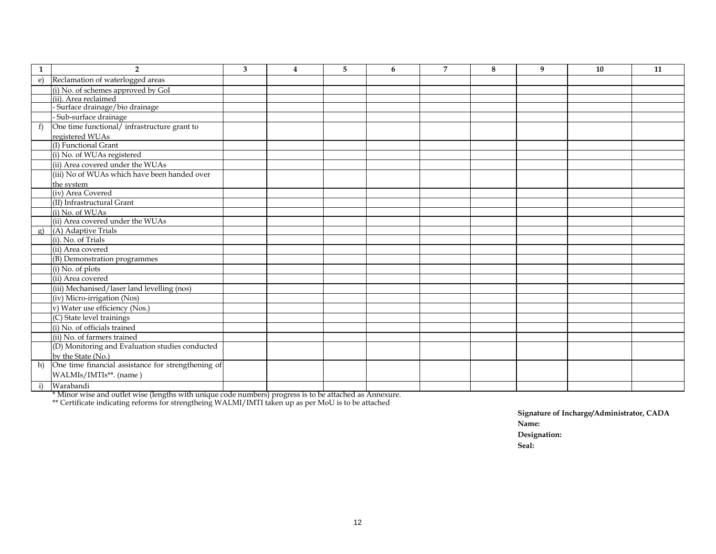| 1            | $\overline{2}$                                     | 3 | $\overline{4}$ | 5 | 6 | $\overline{7}$ | 8 | 9 | 10 | 11 |
|--------------|----------------------------------------------------|---|----------------|---|---|----------------|---|---|----|----|
| $\epsilon$ ) | Reclamation of waterlogged areas                   |   |                |   |   |                |   |   |    |    |
|              | (i) No. of schemes approved by GoI                 |   |                |   |   |                |   |   |    |    |
|              | (ii). Area reclaimed                               |   |                |   |   |                |   |   |    |    |
|              | - Surface drainage/bio drainage                    |   |                |   |   |                |   |   |    |    |
|              | - Sub-surface drainage                             |   |                |   |   |                |   |   |    |    |
| f)           | One time functional/ infrastructure grant to       |   |                |   |   |                |   |   |    |    |
|              | registered WUAs                                    |   |                |   |   |                |   |   |    |    |
|              | (I) Functional Grant                               |   |                |   |   |                |   |   |    |    |
|              | (i) No. of WUAs registered                         |   |                |   |   |                |   |   |    |    |
|              | (ii) Area covered under the WUAs                   |   |                |   |   |                |   |   |    |    |
|              | (iii) No of WUAs which have been handed over       |   |                |   |   |                |   |   |    |    |
|              | the system                                         |   |                |   |   |                |   |   |    |    |
|              | (iv) Area Covered                                  |   |                |   |   |                |   |   |    |    |
|              | (II) Infrastructural Grant                         |   |                |   |   |                |   |   |    |    |
|              | (i) No. of WUAs                                    |   |                |   |   |                |   |   |    |    |
|              | (ii) Area covered under the WUAs                   |   |                |   |   |                |   |   |    |    |
| g)           | (A) Adaptive Trials                                |   |                |   |   |                |   |   |    |    |
|              | (i). No. of Trials                                 |   |                |   |   |                |   |   |    |    |
|              | (ii) Area covered                                  |   |                |   |   |                |   |   |    |    |
|              | (B) Demonstration programmes                       |   |                |   |   |                |   |   |    |    |
|              | (i) No. of plots                                   |   |                |   |   |                |   |   |    |    |
|              | (ii) Area covered                                  |   |                |   |   |                |   |   |    |    |
|              | (iii) Mechanised/laser land levelling (nos)        |   |                |   |   |                |   |   |    |    |
|              | (iv) Micro-irrigation (Nos)                        |   |                |   |   |                |   |   |    |    |
|              | v) Water use efficiency (Nos.)                     |   |                |   |   |                |   |   |    |    |
|              | (C) State level trainings                          |   |                |   |   |                |   |   |    |    |
|              | (i) No. of officials trained                       |   |                |   |   |                |   |   |    |    |
|              | (ii) No. of farmers trained                        |   |                |   |   |                |   |   |    |    |
|              | (D) Monitoring and Evaluation studies conducted    |   |                |   |   |                |   |   |    |    |
|              | by the State (No.)                                 |   |                |   |   |                |   |   |    |    |
| h)           | One time financial assistance for strengthening of |   |                |   |   |                |   |   |    |    |
|              | WALMIs/IMTIs**. (name)                             |   |                |   |   |                |   |   |    |    |
| i)           | Warabandi                                          |   |                |   |   |                |   |   |    |    |

\* Minor wise and outlet wise (lengths with unique code numbers) progress is to be attached as Annexure.

\*\* Certificate indicating reforms for strengtheing WALMI/IMTI taken up as per MoU is to be attached

**Signature of Incharge/Administrator, CADA Name: Designation: Seal:**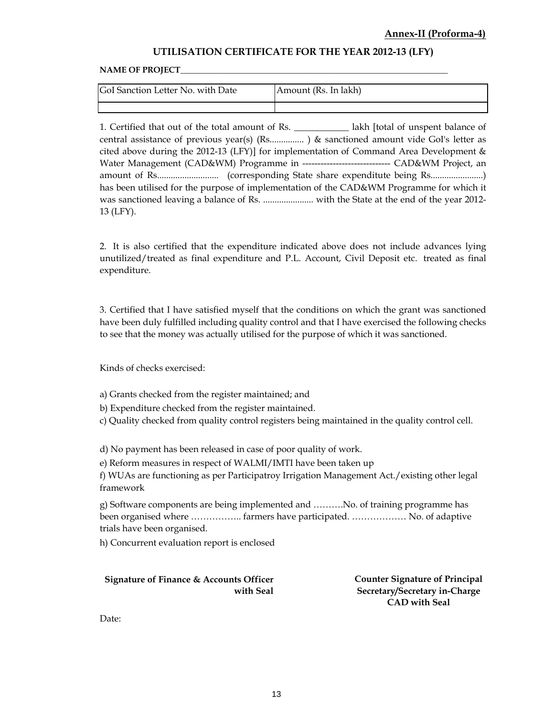#### **UTILISATION CERTIFICATE FOR THE YEAR 2012-13 (LFY)**

#### NAME OF PROJECT\_

| <b>IGoI Sanction Letter No. with Date</b> | Amount (Rs. In lakh) |
|-------------------------------------------|----------------------|
|                                           |                      |

1. Certified that out of the total amount of Rs. \_\_\_\_\_\_\_\_\_\_\_\_ lakh [total of unspent balance of central assistance of previous year(s) (Rs............... ) & sanctioned amount vide GoI's letter as cited above during the 2012-13 (LFY)] for implementation of Command Area Development & Water Management (CAD&WM) Programme in ------------------------------- CAD&WM Project, an amount of Rs........................... (corresponding State share expenditute being Rs.......................) has been utilised for the purpose of implementation of the CAD&WM Programme for which it was sanctioned leaving a balance of Rs. ...................... with the State at the end of the year 2012- 13 (LFY).

2. It is also certified that the expenditure indicated above does not include advances lying unutilized/treated as final expenditure and P.L. Account, Civil Deposit etc. treated as final expenditure.

3. Certified that I have satisfied myself that the conditions on which the grant was sanctioned have been duly fulfilled including quality control and that I have exercised the following checks to see that the money was actually utilised for the purpose of which it was sanctioned.

Kinds of checks exercised:

a) Grants checked from the register maintained; and

b) Expenditure checked from the register maintained.

c) Quality checked from quality control registers being maintained in the quality control cell.

d) No payment has been released in case of poor quality of work.

e) Reform measures in respect of WALMI/IMTI have been taken up

f) WUAs are functioning as per Participatroy Irrigation Management Act./existing other legal framework

g) Software components are being implemented and ……….No. of training programme has been organised where …………….. farmers have participated. ……………… No. of adaptive trials have been organised.

h) Concurrent evaluation report is enclosed

**Signature of Finance & Accounts Officer with Seal**

**Counter Signature of Principal Secretary/Secretary in-Charge CAD with Seal**

Date: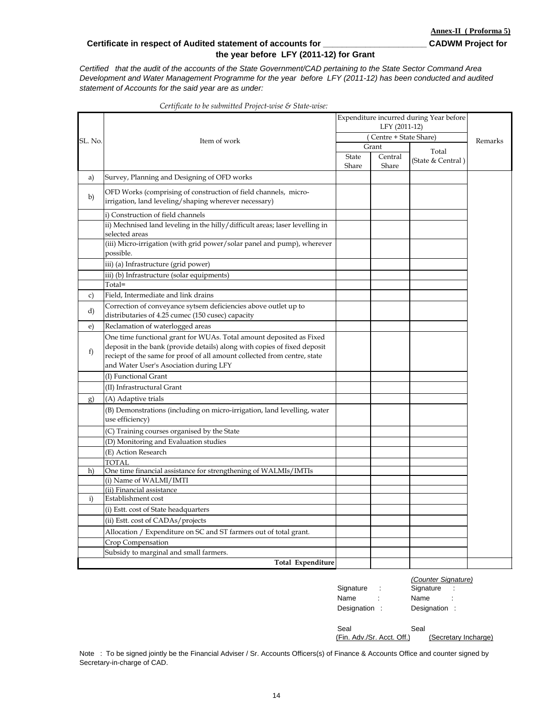#### **Certificate in respect of Audited statement of accounts for \_\_\_\_\_\_\_\_\_\_\_\_\_\_\_\_\_\_\_\_\_\_ CADWM Project for the year before LFY (2011-12) for Grant**

*Certified that the audit of the accounts of the State Government/CAD pertaining to the State Sector Command Area Development and Water Management Programme for the year before LFY (2011-12) has been conducted and audited statement of Accounts for the said year are as under:* 

|  | Certificate to be submitted Project-wise & State-wise: |  |
|--|--------------------------------------------------------|--|
|  |                                                        |  |

|              |                                                                                                                                                                                                |              | Expenditure incurred during Year before<br>LFY (2011-12) |                   |         |  |  |
|--------------|------------------------------------------------------------------------------------------------------------------------------------------------------------------------------------------------|--------------|----------------------------------------------------------|-------------------|---------|--|--|
| SL. No.      |                                                                                                                                                                                                |              |                                                          |                   |         |  |  |
|              | Item of work                                                                                                                                                                                   |              | (Centre + State Share)                                   |                   | Remarks |  |  |
|              |                                                                                                                                                                                                |              | Grant                                                    | Total             |         |  |  |
|              |                                                                                                                                                                                                | <b>State</b> | Central                                                  | (State & Central) |         |  |  |
| a)           | Survey, Planning and Designing of OFD works                                                                                                                                                    | Share        | Share                                                    |                   |         |  |  |
|              |                                                                                                                                                                                                |              |                                                          |                   |         |  |  |
| b)           | OFD Works (comprising of construction of field channels, micro-<br>irrigation, land leveling/shaping wherever necessary)                                                                       |              |                                                          |                   |         |  |  |
|              | i) Construction of field channels                                                                                                                                                              |              |                                                          |                   |         |  |  |
|              | ii) Mechnised land leveling in the hilly/difficult areas; laser levelling in<br>selected areas                                                                                                 |              |                                                          |                   |         |  |  |
|              | (iii) Micro-irrigation (with grid power/solar panel and pump), wherever<br>possible.                                                                                                           |              |                                                          |                   |         |  |  |
|              | iii) (a) Infrastructure (grid power)                                                                                                                                                           |              |                                                          |                   |         |  |  |
|              | iii) (b) Infrastructure (solar equipments)                                                                                                                                                     |              |                                                          |                   |         |  |  |
|              | Total=                                                                                                                                                                                         |              |                                                          |                   |         |  |  |
| c)           | Field, Intermediate and link drains                                                                                                                                                            |              |                                                          |                   |         |  |  |
| d)           | Correction of conveyance sytsem deficiencies above outlet up to<br>distributaries of 4.25 cumec (150 cusec) capacity                                                                           |              |                                                          |                   |         |  |  |
| e)           | Reclamation of waterlogged areas                                                                                                                                                               |              |                                                          |                   |         |  |  |
|              | One time functional grant for WUAs. Total amount deposited as Fixed                                                                                                                            |              |                                                          |                   |         |  |  |
| f)           | deposit in the bank (provide details) along with copies of fixed deposit<br>reciept of the same for proof of all amount collected from centre, state<br>and Water User's Asociation during LFY |              |                                                          |                   |         |  |  |
|              | (I) Functional Grant                                                                                                                                                                           |              |                                                          |                   |         |  |  |
|              | (II) Infrastructural Grant                                                                                                                                                                     |              |                                                          |                   |         |  |  |
| g)           | (A) Adaptive trials                                                                                                                                                                            |              |                                                          |                   |         |  |  |
|              | (B) Demonstrations (including on micro-irrigation, land levelling, water<br>use efficiency)                                                                                                    |              |                                                          |                   |         |  |  |
|              | (C) Training courses organised by the State                                                                                                                                                    |              |                                                          |                   |         |  |  |
|              | (D) Monitoring and Evaluation studies                                                                                                                                                          |              |                                                          |                   |         |  |  |
|              | (E) Action Research                                                                                                                                                                            |              |                                                          |                   |         |  |  |
|              | <b>TOTAL</b>                                                                                                                                                                                   |              |                                                          |                   |         |  |  |
| h)           | One time financial assistance for strengthening of WALMIs/IMTIs                                                                                                                                |              |                                                          |                   |         |  |  |
|              | (i) Name of WALMI/IMTI                                                                                                                                                                         |              |                                                          |                   |         |  |  |
|              | (ii) Financial assistance                                                                                                                                                                      |              |                                                          |                   |         |  |  |
| $\mathbf{i}$ | Establishment cost                                                                                                                                                                             |              |                                                          |                   |         |  |  |
|              | (i) Estt. cost of State headquarters                                                                                                                                                           |              |                                                          |                   |         |  |  |
|              | (ii) Estt. cost of CADAs/projects                                                                                                                                                              |              |                                                          |                   |         |  |  |
|              | Allocation / Expenditure on SC and ST farmers out of total grant.                                                                                                                              |              |                                                          |                   |         |  |  |
|              | Crop Compensation                                                                                                                                                                              |              |                                                          |                   |         |  |  |
|              | Subsidy to marginal and small farmers.                                                                                                                                                         |              |                                                          |                   |         |  |  |
|              | Total Expenditure                                                                                                                                                                              |              |                                                          |                   |         |  |  |

|                | (Counter Signature) |
|----------------|---------------------|
| Signature<br>: | Signature<br>÷      |
| Name           | Name                |
| Designation    | Designation :       |
|                |                     |
| Seal           | Seal                |

(Fin. Adv./Sr. Acct. Off.) (Secretary Incharge)

Note : To be signed jointly be the Financial Adviser / Sr. Accounts Officers(s) of Finance & Accounts Office and counter signed by Secretary-in-charge of CAD.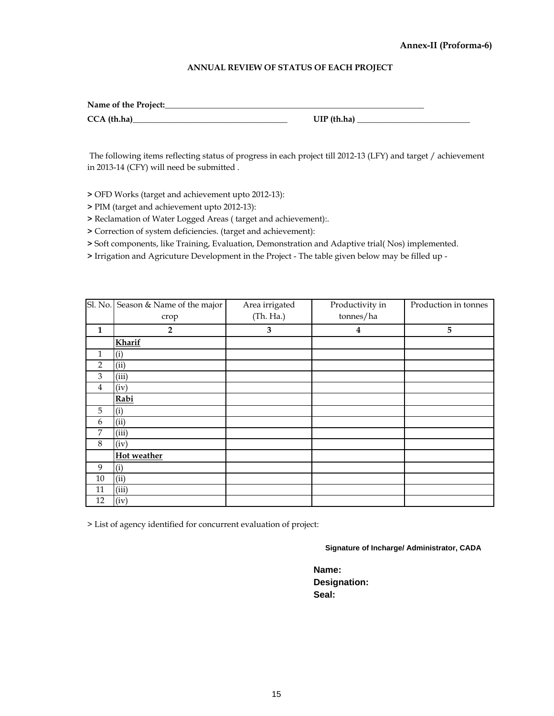#### **Annex-II (Proforma-6)**

#### **ANNUAL REVIEW OF STATUS OF EACH PROJECT**

| Name of the Project: |               |
|----------------------|---------------|
| $CCA$ (th.ha)        | $UIP$ (th.ha) |

 The following items reflecting status of progress in each project till 2012-13 (LFY) and target / achievement in 2013-14 (CFY) will need be submitted .

**>** OFD Works (target and achievement upto 2012-13):

**>** PIM (target and achievement upto 2012-13):

**>** Reclamation of Water Logged Areas ( target and achievement):.

**>** Correction of system deficiencies. (target and achievement):

**>** Soft components, like Training, Evaluation, Demonstration and Adaptive trial( Nos) implemented.

**>** Irrigation and Agricuture Development in the Project - The table given below may be filled up -

|                | Sl. No. Season & Name of the major | Area irrigated          | Productivity in         | Production in tonnes |
|----------------|------------------------------------|-------------------------|-------------------------|----------------------|
|                | crop                               | (Th. Ha.)               | tonnes/ha               |                      |
| $\mathbf{1}$   | $\overline{2}$                     | $\overline{\mathbf{3}}$ | $\overline{\mathbf{4}}$ | 5                    |
|                | Kharif                             |                         |                         |                      |
| $\mathbf{1}$   | (i)                                |                         |                         |                      |
| $\overline{2}$ | (ii)                               |                         |                         |                      |
| 3              | (iii)                              |                         |                         |                      |
| 4              | (iv)                               |                         |                         |                      |
|                | Rabi                               |                         |                         |                      |
| 5              | (i)                                |                         |                         |                      |
| 6              | (ii)                               |                         |                         |                      |
| 7              | (iii)                              |                         |                         |                      |
| $\,8\,$        | (iv)                               |                         |                         |                      |
|                | Hot weather                        |                         |                         |                      |
| 9              | (i)                                |                         |                         |                      |
| $10\,$         | (ii)                               |                         |                         |                      |
| 11             | (iii)                              |                         |                         |                      |
| 12             | (iv)                               |                         |                         |                      |

> List of agency identified for concurrent evaluation of project:

**Signature of Incharge/ Administrator, CADA**

**Name: Designation: Seal:**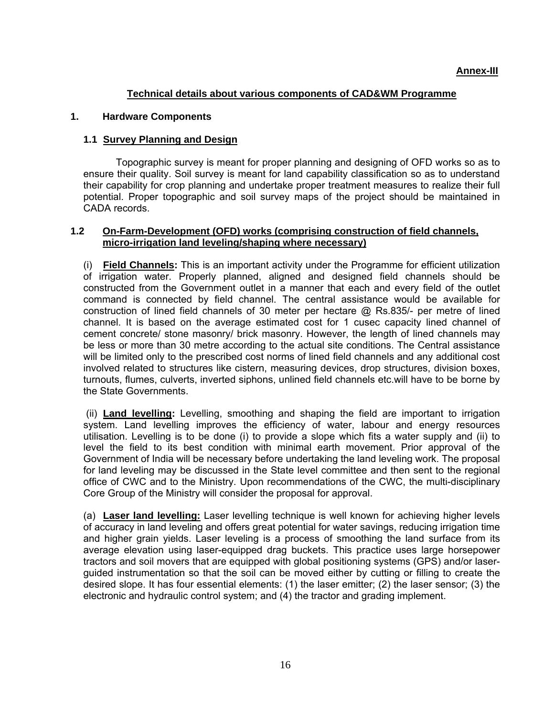### **Technical details about various components of CAD&WM Programme**

#### **1. Hardware Components**

#### **1.1 Survey Planning and Design**

Topographic survey is meant for proper planning and designing of OFD works so as to ensure their quality. Soil survey is meant for land capability classification so as to understand their capability for crop planning and undertake proper treatment measures to realize their full potential. Proper topographic and soil survey maps of the project should be maintained in CADA records.

#### **1.2 On-Farm-Development (OFD) works (comprising construction of field channels, micro-irrigation land leveling/shaping where necessary)**

(i) **Field Channels:** This is an important activity under the Programme for efficient utilization of irrigation water. Properly planned, aligned and designed field channels should be constructed from the Government outlet in a manner that each and every field of the outlet command is connected by field channel. The central assistance would be available for construction of lined field channels of 30 meter per hectare @ Rs.835/- per metre of lined channel. It is based on the average estimated cost for 1 cusec capacity lined channel of cement concrete/ stone masonry/ brick masonry. However, the length of lined channels may be less or more than 30 metre according to the actual site conditions. The Central assistance will be limited only to the prescribed cost norms of lined field channels and any additional cost involved related to structures like cistern, measuring devices, drop structures, division boxes, turnouts, flumes, culverts, inverted siphons, unlined field channels etc.will have to be borne by the State Governments.

 (ii) **Land levelling:** Levelling, smoothing and shaping the field are important to irrigation system. Land levelling improves the efficiency of water, labour and energy resources utilisation. Levelling is to be done (i) to provide a slope which fits a water supply and (ii) to level the field to its best condition with minimal earth movement. Prior approval of the Government of India will be necessary before undertaking the land leveling work. The proposal for land leveling may be discussed in the State level committee and then sent to the regional office of CWC and to the Ministry. Upon recommendations of the CWC, the multi-disciplinary Core Group of the Ministry will consider the proposal for approval.

(a) **Laser land levelling:** Laser levelling technique is well known for achieving higher levels of accuracy in land leveling and offers great potential for water savings, reducing irrigation time and higher grain yields. Laser leveling is a process of smoothing the land surface from its average elevation using laser-equipped drag buckets. This practice uses large horsepower tractors and soil movers that are equipped with global positioning systems (GPS) and/or laserguided instrumentation so that the soil can be moved either by cutting or filling to create the desired slope. It has four essential elements: (1) the laser emitter; (2) the laser sensor; (3) the electronic and hydraulic control system; and (4) the tractor and grading implement.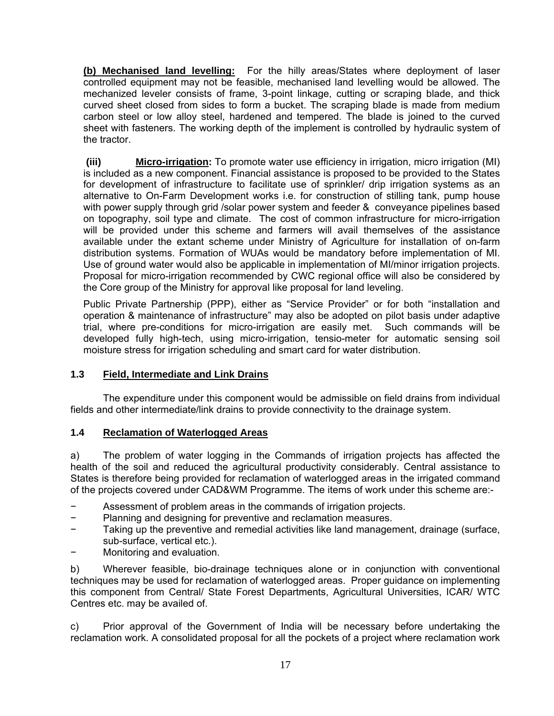**(b) Mechanised land levelling:** For the hilly areas/States where deployment of laser controlled equipment may not be feasible, mechanised land levelling would be allowed. The mechanized leveler consists of frame, 3-point linkage, cutting or scraping blade, and thick curved sheet closed from sides to form a bucket. The scraping blade is made from medium carbon steel or low alloy steel, hardened and tempered. The blade is joined to the curved sheet with fasteners. The working depth of the implement is controlled by hydraulic system of the tractor.

 **(iii) Micro-irrigation:** To promote water use efficiency in irrigation, micro irrigation (MI) is included as a new component. Financial assistance is proposed to be provided to the States for development of infrastructure to facilitate use of sprinkler/ drip irrigation systems as an alternative to On-Farm Development works i.e. for construction of stilling tank, pump house with power supply through grid /solar power system and feeder & conveyance pipelines based on topography, soil type and climate. The cost of common infrastructure for micro-irrigation will be provided under this scheme and farmers will avail themselves of the assistance available under the extant scheme under Ministry of Agriculture for installation of on-farm distribution systems. Formation of WUAs would be mandatory before implementation of MI. Use of ground water would also be applicable in implementation of MI/minor irrigation projects. Proposal for micro-irrigation recommended by CWC regional office will also be considered by the Core group of the Ministry for approval like proposal for land leveling.

Public Private Partnership (PPP), either as "Service Provider" or for both "installation and operation & maintenance of infrastructure" may also be adopted on pilot basis under adaptive trial, where pre-conditions for micro-irrigation are easily met. Such commands will be developed fully high-tech, using micro-irrigation, tensio-meter for automatic sensing soil moisture stress for irrigation scheduling and smart card for water distribution.

#### **1.3 Field, Intermediate and Link Drains**

The expenditure under this component would be admissible on field drains from individual fields and other intermediate/link drains to provide connectivity to the drainage system.

#### **1.4 Reclamation of Waterlogged Areas**

a) The problem of water logging in the Commands of irrigation projects has affected the health of the soil and reduced the agricultural productivity considerably. Central assistance to States is therefore being provided for reclamation of waterlogged areas in the irrigated command of the projects covered under CAD&WM Programme. The items of work under this scheme are:-

- Assessment of problem areas in the commands of irrigation projects.
- − Planning and designing for preventive and reclamation measures.
- Taking up the preventive and remedial activities like land management, drainage (surface, sub-surface, vertical etc.).
- Monitoring and evaluation.

b) Wherever feasible, bio-drainage techniques alone or in conjunction with conventional techniques may be used for reclamation of waterlogged areas. Proper guidance on implementing this component from Central/ State Forest Departments, Agricultural Universities, ICAR/ WTC Centres etc. may be availed of.

c) Prior approval of the Government of India will be necessary before undertaking the reclamation work. A consolidated proposal for all the pockets of a project where reclamation work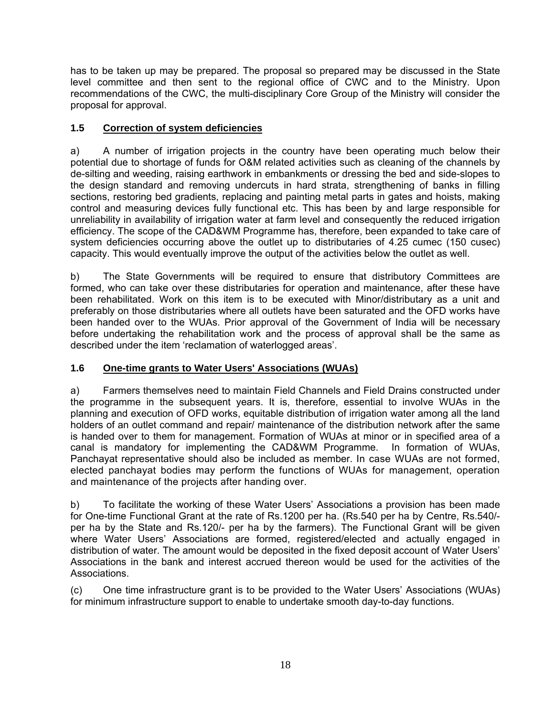has to be taken up may be prepared. The proposal so prepared may be discussed in the State level committee and then sent to the regional office of CWC and to the Ministry. Upon recommendations of the CWC, the multi-disciplinary Core Group of the Ministry will consider the proposal for approval.

## **1.5 Correction of system deficiencies**

a) A number of irrigation projects in the country have been operating much below their potential due to shortage of funds for O&M related activities such as cleaning of the channels by de-silting and weeding, raising earthwork in embankments or dressing the bed and side-slopes to the design standard and removing undercuts in hard strata, strengthening of banks in filling sections, restoring bed gradients, replacing and painting metal parts in gates and hoists, making control and measuring devices fully functional etc. This has been by and large responsible for unreliability in availability of irrigation water at farm level and consequently the reduced irrigation efficiency. The scope of the CAD&WM Programme has, therefore, been expanded to take care of system deficiencies occurring above the outlet up to distributaries of 4.25 cumec (150 cusec) capacity. This would eventually improve the output of the activities below the outlet as well.

b) The State Governments will be required to ensure that distributory Committees are formed, who can take over these distributaries for operation and maintenance, after these have been rehabilitated. Work on this item is to be executed with Minor/distributary as a unit and preferably on those distributaries where all outlets have been saturated and the OFD works have been handed over to the WUAs. Prior approval of the Government of India will be necessary before undertaking the rehabilitation work and the process of approval shall be the same as described under the item 'reclamation of waterlogged areas'.

## **1.6 One-time grants to Water Users' Associations (WUAs)**

a) Farmers themselves need to maintain Field Channels and Field Drains constructed under the programme in the subsequent years. It is, therefore, essential to involve WUAs in the planning and execution of OFD works, equitable distribution of irrigation water among all the land holders of an outlet command and repair/ maintenance of the distribution network after the same is handed over to them for management. Formation of WUAs at minor or in specified area of a canal is mandatory for implementing the CAD&WM Programme. In formation of WUAs, Panchayat representative should also be included as member. In case WUAs are not formed, elected panchayat bodies may perform the functions of WUAs for management, operation and maintenance of the projects after handing over.

b) To facilitate the working of these Water Users' Associations a provision has been made for One-time Functional Grant at the rate of Rs.1200 per ha. (Rs.540 per ha by Centre, Rs.540/ per ha by the State and Rs.120/- per ha by the farmers). The Functional Grant will be given where Water Users' Associations are formed, registered/elected and actually engaged in distribution of water. The amount would be deposited in the fixed deposit account of Water Users' Associations in the bank and interest accrued thereon would be used for the activities of the Associations.

(c) One time infrastructure grant is to be provided to the Water Users' Associations (WUAs) for minimum infrastructure support to enable to undertake smooth day-to-day functions.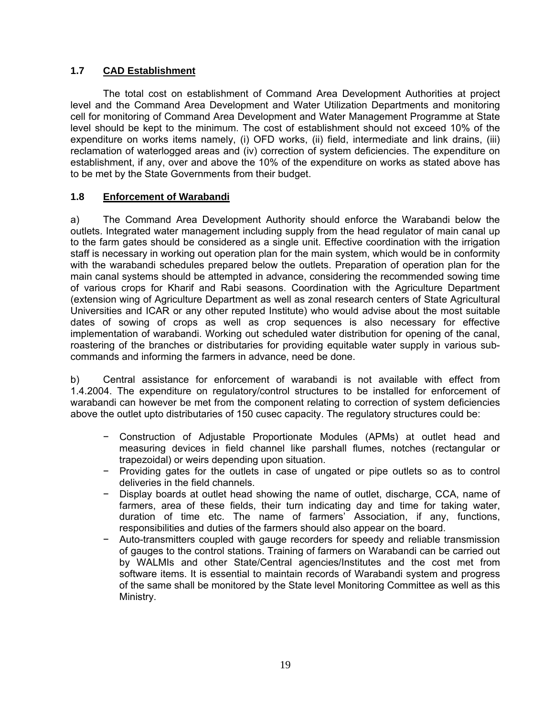## **1.7 CAD Establishment**

The total cost on establishment of Command Area Development Authorities at project level and the Command Area Development and Water Utilization Departments and monitoring cell for monitoring of Command Area Development and Water Management Programme at State level should be kept to the minimum. The cost of establishment should not exceed 10% of the expenditure on works items namely, (i) OFD works, (ii) field, intermediate and link drains, (iii) reclamation of waterlogged areas and (iv) correction of system deficiencies. The expenditure on establishment, if any, over and above the 10% of the expenditure on works as stated above has to be met by the State Governments from their budget.

## **1.8 Enforcement of Warabandi**

a) The Command Area Development Authority should enforce the Warabandi below the outlets. Integrated water management including supply from the head regulator of main canal up to the farm gates should be considered as a single unit. Effective coordination with the irrigation staff is necessary in working out operation plan for the main system, which would be in conformity with the warabandi schedules prepared below the outlets. Preparation of operation plan for the main canal systems should be attempted in advance, considering the recommended sowing time of various crops for Kharif and Rabi seasons. Coordination with the Agriculture Department (extension wing of Agriculture Department as well as zonal research centers of State Agricultural Universities and ICAR or any other reputed Institute) who would advise about the most suitable dates of sowing of crops as well as crop sequences is also necessary for effective implementation of warabandi. Working out scheduled water distribution for opening of the canal, roastering of the branches or distributaries for providing equitable water supply in various subcommands and informing the farmers in advance, need be done.

b) Central assistance for enforcement of warabandi is not available with effect from 1.4.2004. The expenditure on regulatory/control structures to be installed for enforcement of warabandi can however be met from the component relating to correction of system deficiencies above the outlet upto distributaries of 150 cusec capacity. The regulatory structures could be:

- − Construction of Adjustable Proportionate Modules (APMs) at outlet head and measuring devices in field channel like parshall flumes, notches (rectangular or trapezoidal) or weirs depending upon situation.
- − Providing gates for the outlets in case of ungated or pipe outlets so as to control deliveries in the field channels.
- Display boards at outlet head showing the name of outlet, discharge, CCA, name of farmers, area of these fields, their turn indicating day and time for taking water, duration of time etc. The name of farmers' Association, if any, functions, responsibilities and duties of the farmers should also appear on the board.
- − Auto-transmitters coupled with gauge recorders for speedy and reliable transmission of gauges to the control stations. Training of farmers on Warabandi can be carried out by WALMIs and other State/Central agencies/Institutes and the cost met from software items. It is essential to maintain records of Warabandi system and progress of the same shall be monitored by the State level Monitoring Committee as well as this Ministry.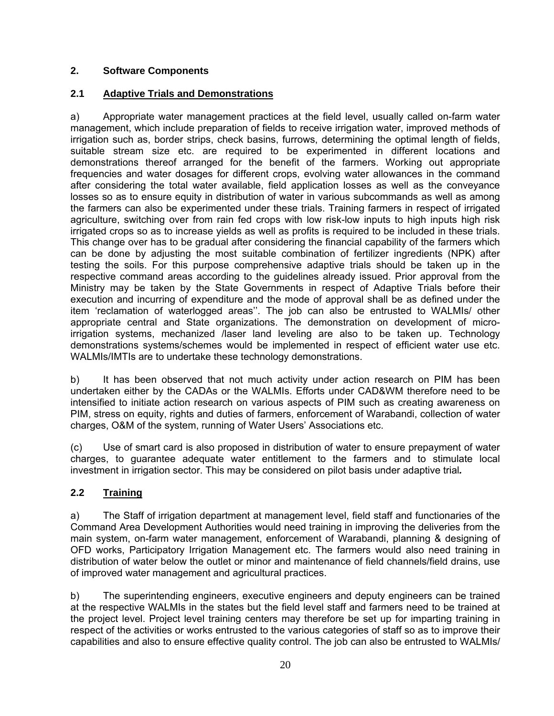## **2. Software Components**

## **2.1 Adaptive Trials and Demonstrations**

a) Appropriate water management practices at the field level, usually called on-farm water management, which include preparation of fields to receive irrigation water, improved methods of irrigation such as, border strips, check basins, furrows, determining the optimal length of fields, suitable stream size etc. are required to be experimented in different locations and demonstrations thereof arranged for the benefit of the farmers. Working out appropriate frequencies and water dosages for different crops, evolving water allowances in the command after considering the total water available, field application losses as well as the conveyance losses so as to ensure equity in distribution of water in various subcommands as well as among the farmers can also be experimented under these trials. Training farmers in respect of irrigated agriculture, switching over from rain fed crops with low risk-low inputs to high inputs high risk irrigated crops so as to increase yields as well as profits is required to be included in these trials. This change over has to be gradual after considering the financial capability of the farmers which can be done by adjusting the most suitable combination of fertilizer ingredients (NPK) after testing the soils. For this purpose comprehensive adaptive trials should be taken up in the respective command areas according to the guidelines already issued. Prior approval from the Ministry may be taken by the State Governments in respect of Adaptive Trials before their execution and incurring of expenditure and the mode of approval shall be as defined under the item 'reclamation of waterlogged areas''. The job can also be entrusted to WALMIs/ other appropriate central and State organizations. The demonstration on development of microirrigation systems, mechanized /laser land leveling are also to be taken up. Technology demonstrations systems/schemes would be implemented in respect of efficient water use etc. WALMIs/IMTIs are to undertake these technology demonstrations.

b) It has been observed that not much activity under action research on PIM has been undertaken either by the CADAs or the WALMIs. Efforts under CAD&WM therefore need to be intensified to initiate action research on various aspects of PIM such as creating awareness on PIM, stress on equity, rights and duties of farmers, enforcement of Warabandi, collection of water charges, O&M of the system, running of Water Users' Associations etc.

(c) Use of smart card is also proposed in distribution of water to ensure prepayment of water charges, to guarantee adequate water entitlement to the farmers and to stimulate local investment in irrigation sector. This may be considered on pilot basis under adaptive trial*.* 

## **2.2 Training**

a) The Staff of irrigation department at management level, field staff and functionaries of the Command Area Development Authorities would need training in improving the deliveries from the main system, on-farm water management, enforcement of Warabandi, planning & designing of OFD works, Participatory Irrigation Management etc. The farmers would also need training in distribution of water below the outlet or minor and maintenance of field channels/field drains, use of improved water management and agricultural practices.

b) The superintending engineers, executive engineers and deputy engineers can be trained at the respective WALMIs in the states but the field level staff and farmers need to be trained at the project level. Project level training centers may therefore be set up for imparting training in respect of the activities or works entrusted to the various categories of staff so as to improve their capabilities and also to ensure effective quality control. The job can also be entrusted to WALMIs/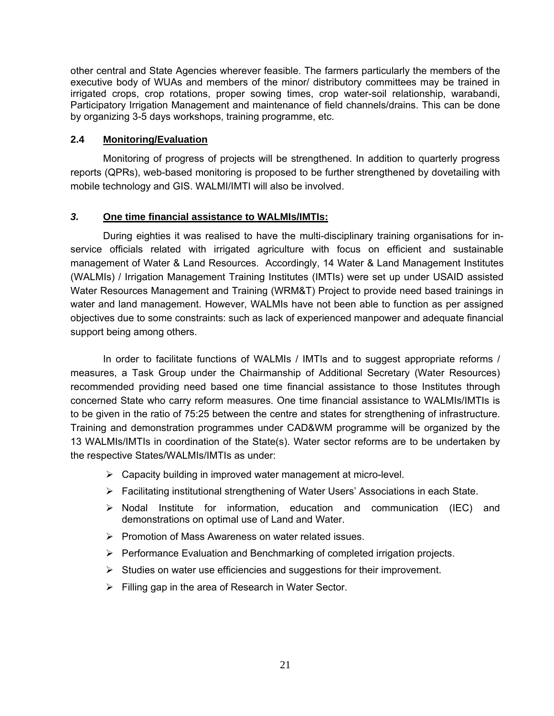other central and State Agencies wherever feasible. The farmers particularly the members of the executive body of WUAs and members of the minor/ distributory committees may be trained in irrigated crops, crop rotations, proper sowing times, crop water-soil relationship, warabandi, Participatory Irrigation Management and maintenance of field channels/drains. This can be done by organizing 3-5 days workshops, training programme, etc.

#### **2.4 Monitoring/Evaluation**

Monitoring of progress of projects will be strengthened. In addition to quarterly progress reports (QPRs), web-based monitoring is proposed to be further strengthened by dovetailing with mobile technology and GIS. WALMI/IMTI will also be involved.

#### *3.* **One time financial assistance to WALMIs/IMTIs:**

During eighties it was realised to have the multi-disciplinary training organisations for inservice officials related with irrigated agriculture with focus on efficient and sustainable management of Water & Land Resources. Accordingly, 14 Water & Land Management Institutes (WALMIs) / Irrigation Management Training Institutes (IMTIs) were set up under USAID assisted Water Resources Management and Training (WRM&T) Project to provide need based trainings in water and land management. However, WALMIs have not been able to function as per assigned objectives due to some constraints: such as lack of experienced manpower and adequate financial support being among others.

In order to facilitate functions of WALMIs / IMTIs and to suggest appropriate reforms / measures, a Task Group under the Chairmanship of Additional Secretary (Water Resources) recommended providing need based one time financial assistance to those Institutes through concerned State who carry reform measures. One time financial assistance to WALMIs/IMTIs is to be given in the ratio of 75:25 between the centre and states for strengthening of infrastructure. Training and demonstration programmes under CAD&WM programme will be organized by the 13 WALMIs/IMTIs in coordination of the State(s). Water sector reforms are to be undertaken by the respective States/WALMIs/IMTIs as under:

- $\triangleright$  Capacity building in improved water management at micro-level.
- ¾ Facilitating institutional strengthening of Water Users' Associations in each State.
- $\triangleright$  Nodal Institute for information, education and communication (IEC) and demonstrations on optimal use of Land and Water.
- ¾ Promotion of Mass Awareness on water related issues.
- $\triangleright$  Performance Evaluation and Benchmarking of completed irrigation projects.
- $\triangleright$  Studies on water use efficiencies and suggestions for their improvement.
- $\triangleright$  Filling gap in the area of Research in Water Sector.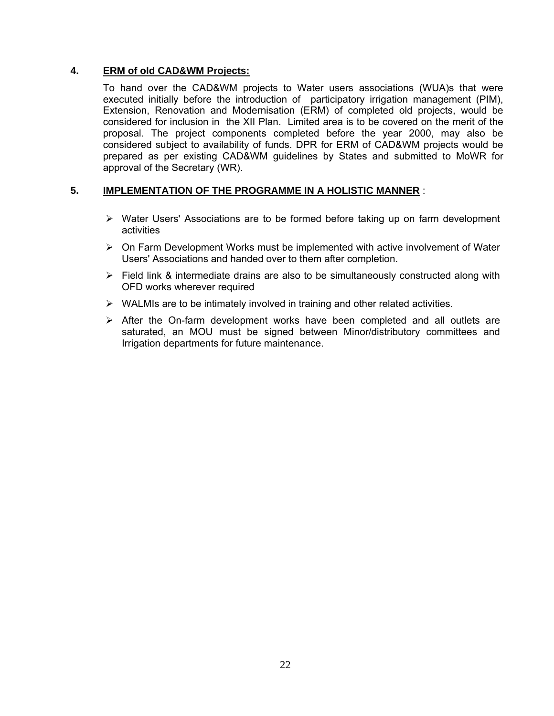## **4. ERM of old CAD&WM Projects:**

To hand over the CAD&WM projects to Water users associations (WUA)s that were executed initially before the introduction of participatory irrigation management (PIM), Extension, Renovation and Modernisation (ERM) of completed old projects, would be considered for inclusion in the XII Plan. Limited area is to be covered on the merit of the proposal. The project components completed before the year 2000, may also be considered subject to availability of funds. DPR for ERM of CAD&WM projects would be prepared as per existing CAD&WM guidelines by States and submitted to MoWR for approval of the Secretary (WR).

## **5. IMPLEMENTATION OF THE PROGRAMME IN A HOLISTIC MANNER** :

- ¾ Water Users' Associations are to be formed before taking up on farm development activities
- $\triangleright$  On Farm Development Works must be implemented with active involvement of Water Users' Associations and handed over to them after completion.
- $\triangleright$  Field link & intermediate drains are also to be simultaneously constructed along with OFD works wherever required
- $\triangleright$  WALMIs are to be intimately involved in training and other related activities.
- $\triangleright$  After the On-farm development works have been completed and all outlets are saturated, an MOU must be signed between Minor/distributory committees and Irrigation departments for future maintenance.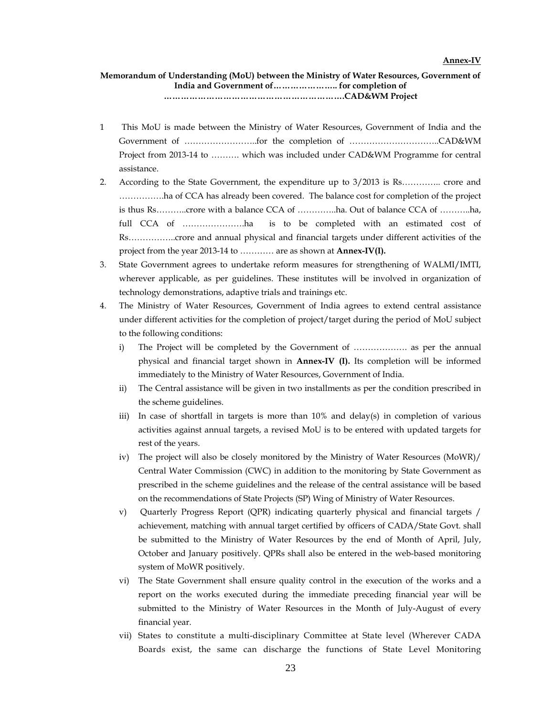#### **Memorandum of Understanding (MoU) between the Ministry of Water Resources, Government of India and Government of………………….. for completion of ……………………………………………………….CAD&WM Project**

- 1 This MoU is made between the Ministry of Water Resources, Government of India and the Government of ……………………..for the completion of …………………………..CAD&WM Project from 2013-14 to ………. which was included under CAD&WM Programme for central assistance.
- 2. According to the State Government, the expenditure up to 3/2013 is Rs………….. crore and …………….ha of CCA has already been covered. The balance cost for completion of the project is thus Rs………..crore with a balance CCA of …………..ha. Out of balance CCA of ………..ha, full CCA of ………………….ha is to be completed with an estimated cost of Rs……………..crore and annual physical and financial targets under different activities of the project from the year 2013-14 to ………… are as shown at **Annex-IV(I).**
- 3. State Government agrees to undertake reform measures for strengthening of WALMI/IMTI, wherever applicable, as per guidelines. These institutes will be involved in organization of technology demonstrations, adaptive trials and trainings etc.
- 4. The Ministry of Water Resources, Government of India agrees to extend central assistance under different activities for the completion of project/target during the period of MoU subject to the following conditions:
	- i) The Project will be completed by the Government of ………………. as per the annual physical and financial target shown in **Annex-IV (I).** Its completion will be informed immediately to the Ministry of Water Resources, Government of India.
	- ii) The Central assistance will be given in two installments as per the condition prescribed in the scheme guidelines.
	- iii) In case of shortfall in targets is more than 10% and delay(s) in completion of various activities against annual targets, a revised MoU is to be entered with updated targets for rest of the years.
	- iv) The project will also be closely monitored by the Ministry of Water Resources (MoWR)/ Central Water Commission (CWC) in addition to the monitoring by State Government as prescribed in the scheme guidelines and the release of the central assistance will be based on the recommendations of State Projects (SP) Wing of Ministry of Water Resources.
	- v) Quarterly Progress Report (QPR) indicating quarterly physical and financial targets / achievement, matching with annual target certified by officers of CADA/State Govt. shall be submitted to the Ministry of Water Resources by the end of Month of April, July, October and January positively. QPRs shall also be entered in the web-based monitoring system of MoWR positively.
	- vi) The State Government shall ensure quality control in the execution of the works and a report on the works executed during the immediate preceding financial year will be submitted to the Ministry of Water Resources in the Month of July-August of every financial year.
	- vii) States to constitute a multi-disciplinary Committee at State level (Wherever CADA Boards exist, the same can discharge the functions of State Level Monitoring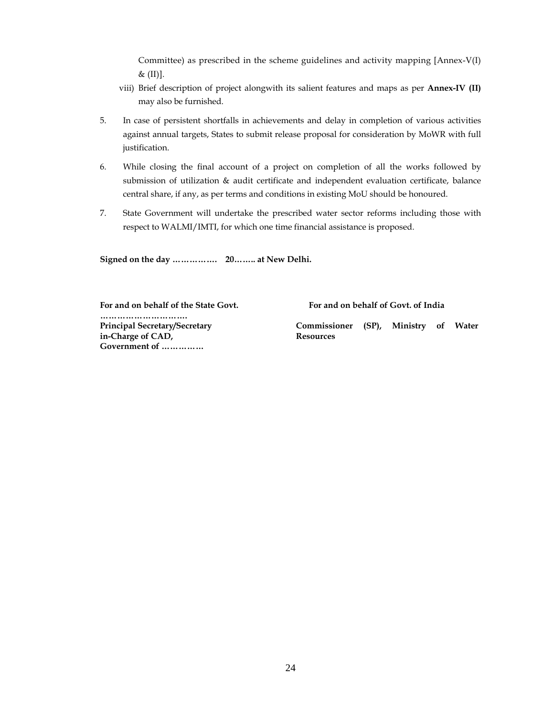Committee) as prescribed in the scheme guidelines and activity mapping [Annex-V(I) &  $(II)$ ].

- viii) Brief description of project alongwith its salient features and maps as per **Annex-IV (II)** may also be furnished.
- 5. In case of persistent shortfalls in achievements and delay in completion of various activities against annual targets, States to submit release proposal for consideration by MoWR with full justification.
- 6. While closing the final account of a project on completion of all the works followed by submission of utilization & audit certificate and independent evaluation certificate, balance central share, if any, as per terms and conditions in existing MoU should be honoured.
- 7. State Government will undertake the prescribed water sector reforms including those with respect to WALMI/IMTI, for which one time financial assistance is proposed.

**Signed on the day ……………. 20…….. at New Delhi.** 

**For and on behalf of the State Govt. …………………………. Principal Secretary/Secretary in-Charge of CAD, Government of ……………** 

 **For and on behalf of Govt. of India** 

**Commissioner (SP), Ministry of Water Resources**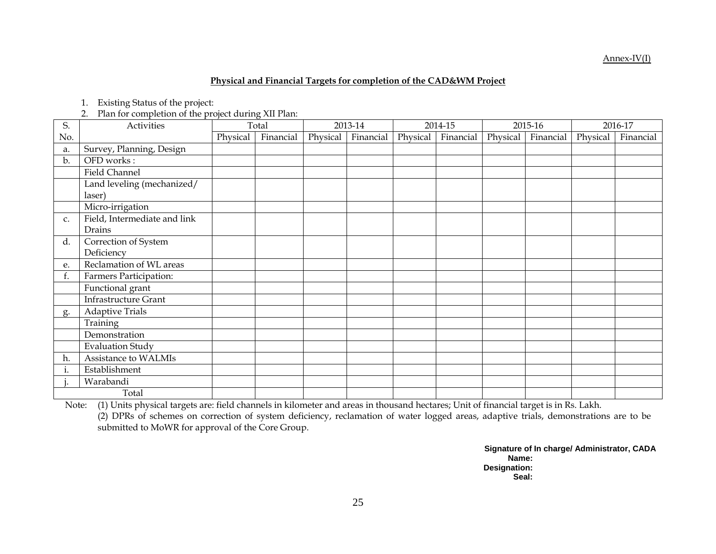#### Annex-IV(I)

#### **Physical and Financial Targets for completion of the CAD&WM Project**

1. Existing Status of the project:

2. Plan for completion of the project during XII Plan:

| S.  | Activities                   |          | Total     | 2013-14  |           | 2014-15  |           | 2015-16  |           | 2016-17  |           |
|-----|------------------------------|----------|-----------|----------|-----------|----------|-----------|----------|-----------|----------|-----------|
| No. |                              | Physical | Financial | Physical | Financial | Physical | Financial | Physical | Financial | Physical | Financial |
| a.  | Survey, Planning, Design     |          |           |          |           |          |           |          |           |          |           |
| b.  | OFD works:                   |          |           |          |           |          |           |          |           |          |           |
|     | Field Channel                |          |           |          |           |          |           |          |           |          |           |
|     | Land leveling (mechanized/   |          |           |          |           |          |           |          |           |          |           |
|     | laser)                       |          |           |          |           |          |           |          |           |          |           |
|     | Micro-irrigation             |          |           |          |           |          |           |          |           |          |           |
| C.  | Field, Intermediate and link |          |           |          |           |          |           |          |           |          |           |
|     | Drains                       |          |           |          |           |          |           |          |           |          |           |
| d.  | Correction of System         |          |           |          |           |          |           |          |           |          |           |
|     | Deficiency                   |          |           |          |           |          |           |          |           |          |           |
| e.  | Reclamation of WL areas      |          |           |          |           |          |           |          |           |          |           |
| f.  | Farmers Participation:       |          |           |          |           |          |           |          |           |          |           |
|     | Functional grant             |          |           |          |           |          |           |          |           |          |           |
|     | <b>Infrastructure Grant</b>  |          |           |          |           |          |           |          |           |          |           |
| g.  | <b>Adaptive Trials</b>       |          |           |          |           |          |           |          |           |          |           |
|     | Training                     |          |           |          |           |          |           |          |           |          |           |
|     | Demonstration                |          |           |          |           |          |           |          |           |          |           |
|     | <b>Evaluation Study</b>      |          |           |          |           |          |           |          |           |          |           |
| h.  | Assistance to WALMIs         |          |           |          |           |          |           |          |           |          |           |
| 1.  | Establishment                |          |           |          |           |          |           |          |           |          |           |
|     | Warabandi                    |          |           |          |           |          |           |          |           |          |           |
|     | Total                        |          |           |          |           |          |           |          |           |          |           |

Note: (1) Units physical targets are: field channels in kilometer and areas in thousand hectares; Unit of financial target is in Rs. Lakh.

(2) DPRs of schemes on correction of system deficiency, reclamation of water logged areas, adaptive trials, demonstrations are to be submitted to MoWR for approval of the Core Group.

> **Signature of In charge/ Administrator, CADA Name: Designation: Seal:**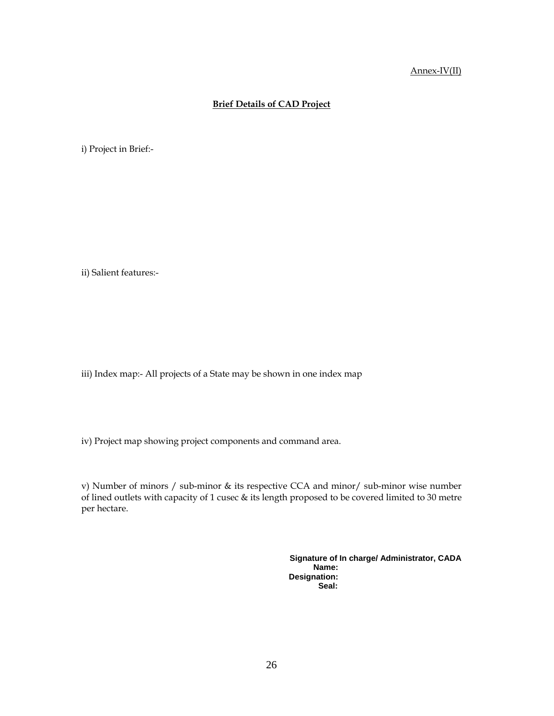#### Annex-IV(II)

#### **Brief Details of CAD Project**

i) Project in Brief:-

ii) Salient features:-

iii) Index map:- All projects of a State may be shown in one index map

iv) Project map showing project components and command area.

v) Number of minors / sub-minor & its respective CCA and minor/ sub-minor wise number of lined outlets with capacity of 1 cusec & its length proposed to be covered limited to 30 metre per hectare.

> **Signature of In charge/ Administrator, CADA Name: Designation: Seal:**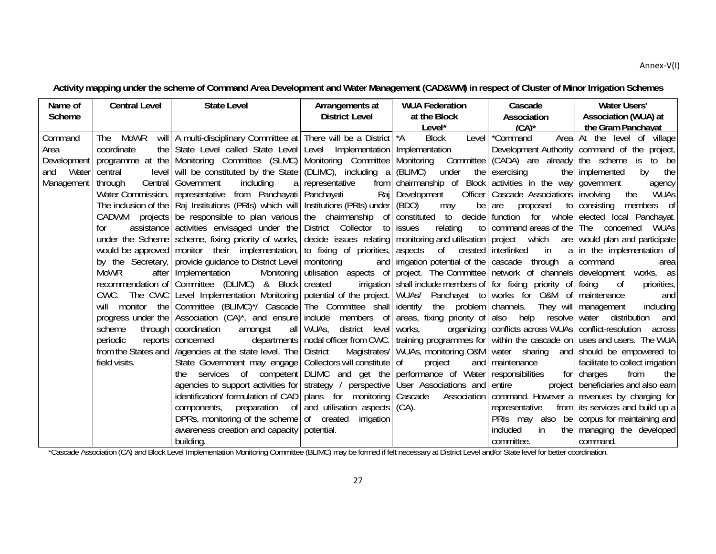#### Annex‐V(I)

## **Activity mapping under the scheme of Command Area Development and Water Management (CAD&WM) in respect of Cluster of Minor Irrigation Schemes**

| Name of       | <b>Central Level</b> | <b>State Level</b>                                                                                                                                | Arrangements at                         | <b>WUA Federation</b>                                                   | Cascade                                    | Water Users'                                                                                               |
|---------------|----------------------|---------------------------------------------------------------------------------------------------------------------------------------------------|-----------------------------------------|-------------------------------------------------------------------------|--------------------------------------------|------------------------------------------------------------------------------------------------------------|
| <b>Scheme</b> |                      |                                                                                                                                                   | <b>District Level</b>                   | at the Block                                                            | Association                                | Association (WUA) at                                                                                       |
|               |                      |                                                                                                                                                   |                                         | Level*                                                                  | $(CA)^*$                                   | the Gram Panchavat                                                                                         |
| Command       | The MoWR             | will   A multi-disciplinary Committee at   There will be a District   *A                                                                          |                                         | Block                                                                   | Level *Command                             | Area At the level of village                                                                               |
| Area          | coordinate           | the State Level called State Level Level Implementation   Implementation                                                                          |                                         |                                                                         |                                            | Development Authority   command of the project,                                                            |
| Development   |                      | programme at the Monitoring Committee (SLMC) Monitoring Committee Monitoring Committee (CADA) are already the scheme is to be                     |                                         |                                                                         |                                            |                                                                                                            |
| Water<br>and  | central              | level will be constituted by the State (DLIMC), including a $\ell$ (BLIMC)                                                                        |                                         | under                                                                   | the exercising<br>the I                    | implemented<br>by the                                                                                      |
| Management    | through              | Central Government<br>including                                                                                                                   | a representative                        | from chairmanship of Block activities in the way government             |                                            | agency                                                                                                     |
|               |                      | Water Commission.   representative from Panchayati   Panchayati   Raj   Development                                                               |                                         |                                                                         | Officer   Cascade Associations   involving | the<br>WUAs                                                                                                |
|               |                      | The inclusion of the $ $ Raj Institutions (PRIs) which will Institutions (PRIs) under $ $ (BDO)                                                   |                                         | may                                                                     | be are<br>proposed                         | to consisting members of                                                                                   |
|               |                      | CADWM projects be responsible to plan various the chairmanship of constituted to decide function for whole elected local Panchayat.               |                                         |                                                                         |                                            |                                                                                                            |
|               | for                  | assistance activities envisaged under the District Collector to issues                                                                            |                                         | relating                                                                | to   command areas of the   The concerned  | WUAs                                                                                                       |
|               |                      | under the Scheme scheme, fixing priority of works, decide issues relating monitoring and utilisation project which are would plan and participate |                                         |                                                                         |                                            |                                                                                                            |
|               |                      | would be approved monitor their implementation, to fixing of priorities, aspects of created interlinked                                           |                                         |                                                                         | $\mathsf{in}$                              | a in the implementation of                                                                                 |
|               |                      | by the Secretary, provide guidance to District Level   monitoring                                                                                 |                                         | and irrigation potential of the cascade through a command               |                                            | area                                                                                                       |
|               | MoWR                 | after   Implementation                                                                                                                            |                                         |                                                                         |                                            | Monitoring   utilisation aspects of   project. The Committee   network of channels   development works, as |
|               |                      | recommendation of Committee (DLIMC) & Block created                                                                                               |                                         | irrigation   shall include members of   for fixing priority of   fixing |                                            | priorities,<br>- of                                                                                        |
|               |                      | CWC. The CWC Level Implementation Monitoring potential of the project. WUAs/                                                                      |                                         |                                                                         | Panchayat to works for O&M of maintenance  | and                                                                                                        |
|               |                      | will monitor the Committee (BLIMC)*/ Cascade The Committee shall identify the problem channels. They will management                              |                                         |                                                                         |                                            | including                                                                                                  |
|               |                      | progress under the Association (CA)*, and ensure include members of areas, fixing priority of also help resolve water                             |                                         |                                                                         |                                            | distribution<br>and                                                                                        |
|               | scheme               | through   coordination                                                                                                                            | amongst all WUAs, district level works, |                                                                         |                                            | organizing   conflicts across WUAs   conflict-resolution across                                            |
|               | periodic             | reports   concerned departments   nodal officer from CWC.   training programmes for   within the cascade on   uses and users. The WUA             |                                         |                                                                         |                                            |                                                                                                            |
|               |                      | from the States and   /agencies at the state level. The   District                                                                                |                                         |                                                                         |                                            | Magistrates/ WUAs, monitoring O&M   water sharing and   should be empowered to                             |
|               | field visits.        | State Government may engage   Collectors will constitute   of                                                                                     |                                         | project                                                                 | and   maintenance                          | facilitate to collect irrigation                                                                           |
|               |                      | services of competent DLIMC and get the performance of Water responsibilities                                                                     |                                         |                                                                         |                                            | for charges<br>from<br>the                                                                                 |
|               |                      | agencies to support activities for strategy / perspective User Associations and entire                                                            |                                         |                                                                         |                                            | project   beneficiaries and also earn                                                                      |
|               |                      | identification/ formulation of CAD   plans for monitoring   Cascade Association   command. However a   revenues by charging for                   |                                         |                                                                         |                                            |                                                                                                            |
|               |                      | components, preparation of and utilisation aspects $(CA)$ .                                                                                       |                                         |                                                                         | representative                             | from its services and build up a                                                                           |
|               |                      | DPRs, monitoring of the scheme of created                                                                                                         | irrigation                              |                                                                         |                                            | PRIs may also be corpus for maintaining and                                                                |
|               |                      | awareness creation and capacity   potential.                                                                                                      |                                         |                                                                         | included<br>in                             | the managing the developed                                                                                 |
|               |                      | building.                                                                                                                                         |                                         |                                                                         | committee.                                 | command.                                                                                                   |

\*Cascade Association (CA) and Block Level Implementation Monitoring Committee (BLIMC) may be formed if felt necessary at District Level and/or State level for better coordination.